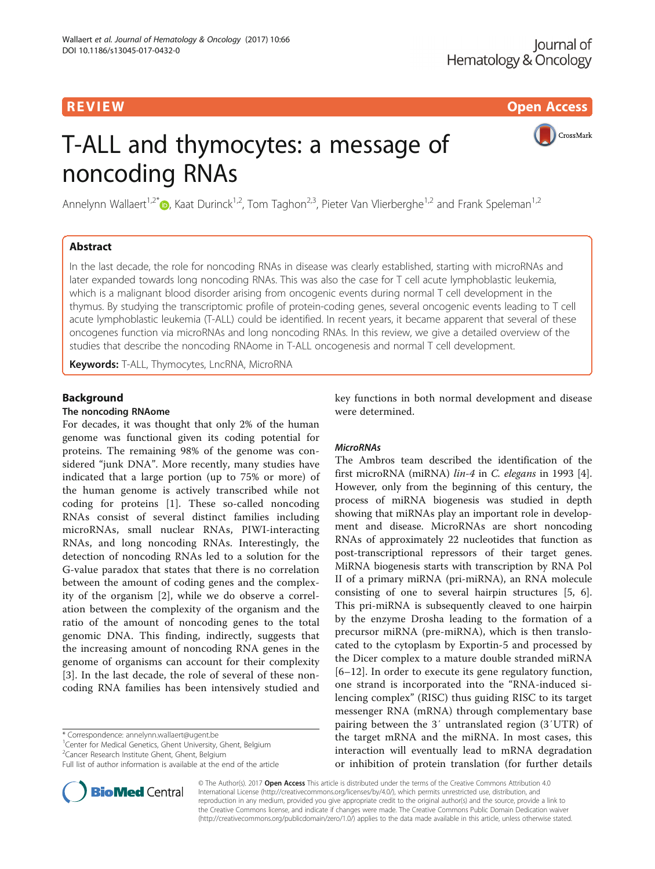R EVI EW Open Access

CrossMark

# T-ALL and thymocytes: a message of noncoding RNAs

Annelynn Wallaert<sup>1,2[\\*](http://orcid.org/0000-0002-5275-9591)</sup> $\odot$ , Kaat Durinck<sup>1,2</sup>, Tom Taghon<sup>2,3</sup>, Pieter Van Vlierberghe<sup>1,2</sup> and Frank Speleman<sup>1,2</sup>

# Abstract

In the last decade, the role for noncoding RNAs in disease was clearly established, starting with microRNAs and later expanded towards long noncoding RNAs. This was also the case for T cell acute lymphoblastic leukemia, which is a malignant blood disorder arising from oncogenic events during normal T cell development in the thymus. By studying the transcriptomic profile of protein-coding genes, several oncogenic events leading to T cell acute lymphoblastic leukemia (T-ALL) could be identified. In recent years, it became apparent that several of these oncogenes function via microRNAs and long noncoding RNAs. In this review, we give a detailed overview of the studies that describe the noncoding RNAome in T-ALL oncogenesis and normal T cell development.

Keywords: T-ALL, Thymocytes, LncRNA, MicroRNA

# Background

# The noncoding RNAome

For decades, it was thought that only 2% of the human genome was functional given its coding potential for proteins. The remaining 98% of the genome was considered "junk DNA". More recently, many studies have indicated that a large portion (up to 75% or more) of the human genome is actively transcribed while not coding for proteins [\[1](#page-12-0)]. These so-called noncoding RNAs consist of several distinct families including microRNAs, small nuclear RNAs, PIWI-interacting RNAs, and long noncoding RNAs. Interestingly, the detection of noncoding RNAs led to a solution for the G-value paradox that states that there is no correlation between the amount of coding genes and the complexity of the organism [[2\]](#page-12-0), while we do observe a correlation between the complexity of the organism and the ratio of the amount of noncoding genes to the total genomic DNA. This finding, indirectly, suggests that the increasing amount of noncoding RNA genes in the genome of organisms can account for their complexity [[3\]](#page-12-0). In the last decade, the role of several of these noncoding RNA families has been intensively studied and

\* Correspondence: [annelynn.wallaert@ugent.be](mailto:annelynn.wallaert@ugent.be) <sup>1</sup>

<sup>1</sup> Center for Medical Genetics, Ghent University, Ghent, Belgium

<sup>2</sup> Cancer Research Institute Ghent, Ghent, Belgium

Full list of author information is available at the end of the article



key functions in both normal development and disease were determined.

# **MicroRNAs**

The Ambros team described the identification of the first microRNA (miRNA) lin-4 in C. elegans in 1993 [\[4](#page-12-0)]. However, only from the beginning of this century, the process of miRNA biogenesis was studied in depth showing that miRNAs play an important role in development and disease. MicroRNAs are short noncoding RNAs of approximately 22 nucleotides that function as post-transcriptional repressors of their target genes. MiRNA biogenesis starts with transcription by RNA Pol II of a primary miRNA (pri-miRNA), an RNA molecule consisting of one to several hairpin structures [[5, 6](#page-12-0)]. This pri-miRNA is subsequently cleaved to one hairpin by the enzyme Drosha leading to the formation of a precursor miRNA (pre-miRNA), which is then translocated to the cytoplasm by Exportin-5 and processed by the Dicer complex to a mature double stranded miRNA [[6](#page-12-0)–[12](#page-12-0)]. In order to execute its gene regulatory function, one strand is incorporated into the "RNA-induced silencing complex" (RISC) thus guiding RISC to its target messenger RNA (mRNA) through complementary base pairing between the 3′ untranslated region (3′UTR) of the target mRNA and the miRNA. In most cases, this interaction will eventually lead to mRNA degradation or inhibition of protein translation (for further details

© The Author(s). 2017 Open Access This article is distributed under the terms of the Creative Commons Attribution 4.0 International License [\(http://creativecommons.org/licenses/by/4.0/](http://creativecommons.org/licenses/by/4.0/)), which permits unrestricted use, distribution, and reproduction in any medium, provided you give appropriate credit to the original author(s) and the source, provide a link to the Creative Commons license, and indicate if changes were made. The Creative Commons Public Domain Dedication waiver [\(http://creativecommons.org/publicdomain/zero/1.0/](http://creativecommons.org/publicdomain/zero/1.0/)) applies to the data made available in this article, unless otherwise stated.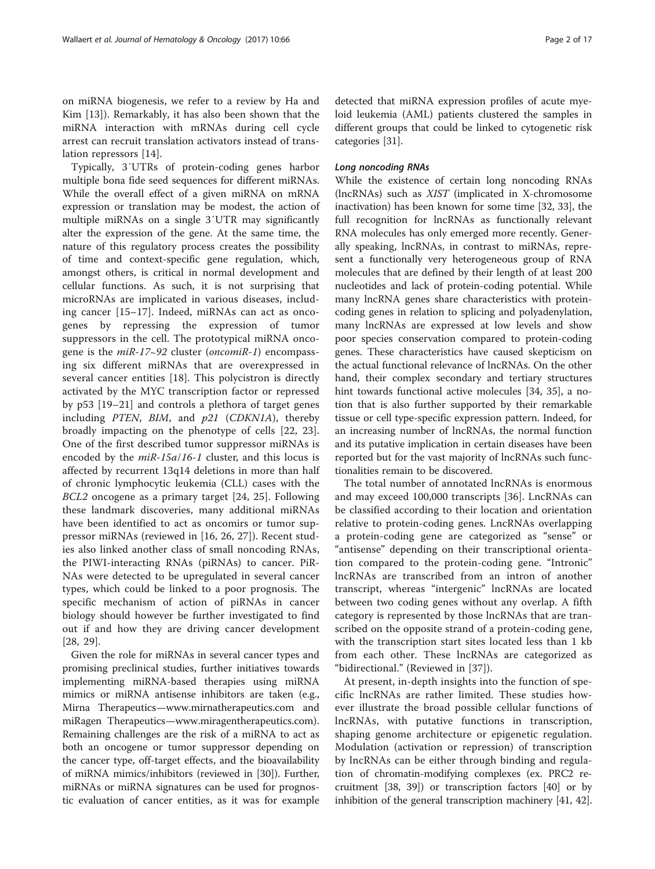on miRNA biogenesis, we refer to a review by Ha and Kim [[13\]](#page-13-0)). Remarkably, it has also been shown that the miRNA interaction with mRNAs during cell cycle arrest can recruit translation activators instead of translation repressors [[14](#page-13-0)].

Typically, 3′UTRs of protein-coding genes harbor multiple bona fide seed sequences for different miRNAs. While the overall effect of a given miRNA on mRNA expression or translation may be modest, the action of multiple miRNAs on a single 3′UTR may significantly alter the expression of the gene. At the same time, the nature of this regulatory process creates the possibility of time and context-specific gene regulation, which, amongst others, is critical in normal development and cellular functions. As such, it is not surprising that microRNAs are implicated in various diseases, including cancer [[15](#page-13-0)–[17\]](#page-13-0). Indeed, miRNAs can act as oncogenes by repressing the expression of tumor suppressors in the cell. The prototypical miRNA oncogene is the miR-17∼92 cluster (oncomiR-1) encompassing six different miRNAs that are overexpressed in several cancer entities [\[18](#page-13-0)]. This polycistron is directly activated by the MYC transcription factor or repressed by p53 [\[19](#page-13-0)–[21](#page-13-0)] and controls a plethora of target genes including PTEN, BIM, and p21 (CDKN1A), thereby broadly impacting on the phenotype of cells [\[22](#page-13-0), [23](#page-13-0)]. One of the first described tumor suppressor miRNAs is encoded by the *miR-15a/16-1* cluster, and this locus is affected by recurrent 13q14 deletions in more than half of chronic lymphocytic leukemia (CLL) cases with the BCL2 oncogene as a primary target [[24, 25\]](#page-13-0). Following these landmark discoveries, many additional miRNAs have been identified to act as oncomirs or tumor suppressor miRNAs (reviewed in [[16, 26, 27\]](#page-13-0)). Recent studies also linked another class of small noncoding RNAs, the PIWI-interacting RNAs (piRNAs) to cancer. PiR-NAs were detected to be upregulated in several cancer types, which could be linked to a poor prognosis. The specific mechanism of action of piRNAs in cancer biology should however be further investigated to find out if and how they are driving cancer development [[28, 29](#page-13-0)].

Given the role for miRNAs in several cancer types and promising preclinical studies, further initiatives towards implementing miRNA-based therapies using miRNA mimics or miRNA antisense inhibitors are taken (e.g., Mirna Therapeutics—[www.mirnatherapeutics.com](http://www.mirnatherapeutics.com) and miRagen Therapeutics—[www.miragentherapeutics.com](http://www.miragentherapeutics.com)). Remaining challenges are the risk of a miRNA to act as both an oncogene or tumor suppressor depending on the cancer type, off-target effects, and the bioavailability of miRNA mimics/inhibitors (reviewed in [[30](#page-13-0)]). Further, miRNAs or miRNA signatures can be used for prognostic evaluation of cancer entities, as it was for example detected that miRNA expression profiles of acute myeloid leukemia (AML) patients clustered the samples in different groups that could be linked to cytogenetic risk categories [\[31](#page-13-0)].

#### Long noncoding RNAs

While the existence of certain long noncoding RNAs (lncRNAs) such as XIST (implicated in X-chromosome inactivation) has been known for some time [\[32](#page-13-0), [33](#page-13-0)], the full recognition for lncRNAs as functionally relevant RNA molecules has only emerged more recently. Generally speaking, lncRNAs, in contrast to miRNAs, represent a functionally very heterogeneous group of RNA molecules that are defined by their length of at least 200 nucleotides and lack of protein-coding potential. While many lncRNA genes share characteristics with proteincoding genes in relation to splicing and polyadenylation, many lncRNAs are expressed at low levels and show poor species conservation compared to protein-coding genes. These characteristics have caused skepticism on the actual functional relevance of lncRNAs. On the other hand, their complex secondary and tertiary structures hint towards functional active molecules [\[34](#page-13-0), [35\]](#page-13-0), a notion that is also further supported by their remarkable tissue or cell type-specific expression pattern. Indeed, for an increasing number of lncRNAs, the normal function and its putative implication in certain diseases have been reported but for the vast majority of lncRNAs such functionalities remain to be discovered.

The total number of annotated lncRNAs is enormous and may exceed 100,000 transcripts [[36\]](#page-13-0). LncRNAs can be classified according to their location and orientation relative to protein-coding genes. LncRNAs overlapping a protein-coding gene are categorized as "sense" or "antisense" depending on their transcriptional orientation compared to the protein-coding gene. "Intronic" lncRNAs are transcribed from an intron of another transcript, whereas "intergenic" lncRNAs are located between two coding genes without any overlap. A fifth category is represented by those lncRNAs that are transcribed on the opposite strand of a protein-coding gene, with the transcription start sites located less than 1 kb from each other. These lncRNAs are categorized as "bidirectional." (Reviewed in [\[37](#page-13-0)]).

At present, in-depth insights into the function of specific lncRNAs are rather limited. These studies however illustrate the broad possible cellular functions of lncRNAs, with putative functions in transcription, shaping genome architecture or epigenetic regulation. Modulation (activation or repression) of transcription by lncRNAs can be either through binding and regulation of chromatin-modifying complexes (ex. PRC2 recruitment [[38](#page-13-0), [39](#page-13-0)]) or transcription factors [\[40\]](#page-13-0) or by inhibition of the general transcription machinery [[41](#page-13-0), [42](#page-13-0)].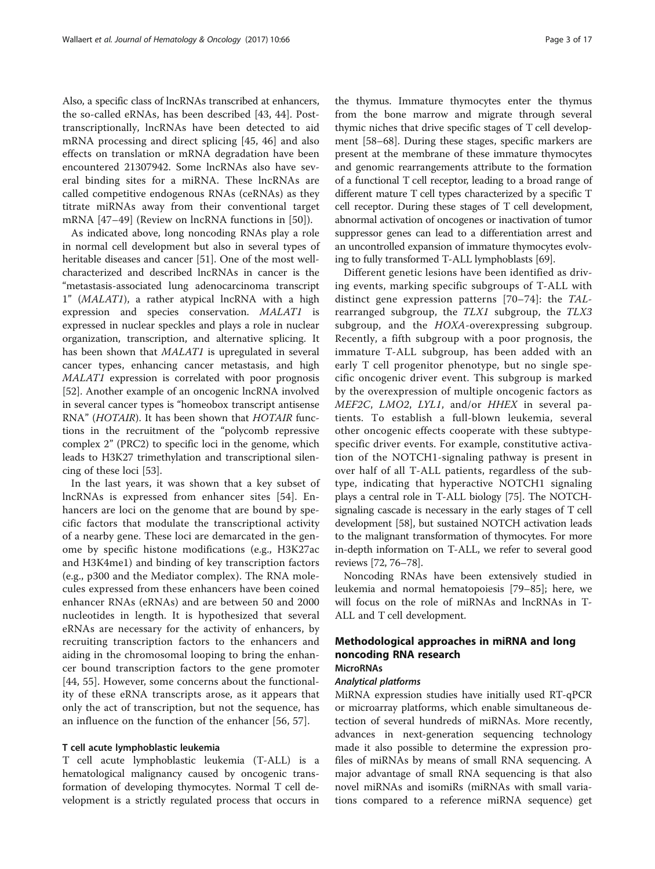Also, a specific class of lncRNAs transcribed at enhancers, the so-called eRNAs, has been described [[43, 44](#page-13-0)]. Posttranscriptionally, lncRNAs have been detected to aid mRNA processing and direct splicing [[45, 46\]](#page-13-0) and also effects on translation or mRNA degradation have been encountered 21307942. Some lncRNAs also have several binding sites for a miRNA. These lncRNAs are called competitive endogenous RNAs (ceRNAs) as they titrate miRNAs away from their conventional target mRNA [[47](#page-13-0)–[49\]](#page-13-0) (Review on lncRNA functions in [[50\]](#page-13-0)).

As indicated above, long noncoding RNAs play a role in normal cell development but also in several types of heritable diseases and cancer [[51\]](#page-13-0). One of the most wellcharacterized and described lncRNAs in cancer is the "metastasis-associated lung adenocarcinoma transcript 1" (MALAT1), a rather atypical lncRNA with a high expression and species conservation. MALAT1 is expressed in nuclear speckles and plays a role in nuclear organization, transcription, and alternative splicing. It has been shown that MALAT1 is upregulated in several cancer types, enhancing cancer metastasis, and high MALAT1 expression is correlated with poor prognosis [[52\]](#page-13-0). Another example of an oncogenic lncRNA involved in several cancer types is "homeobox transcript antisense RNA" (HOTAIR). It has been shown that HOTAIR functions in the recruitment of the "polycomb repressive complex 2" (PRC2) to specific loci in the genome, which leads to H3K27 trimethylation and transcriptional silencing of these loci [\[53](#page-13-0)].

In the last years, it was shown that a key subset of lncRNAs is expressed from enhancer sites [[54\]](#page-13-0). Enhancers are loci on the genome that are bound by specific factors that modulate the transcriptional activity of a nearby gene. These loci are demarcated in the genome by specific histone modifications (e.g., H3K27ac and H3K4me1) and binding of key transcription factors (e.g., p300 and the Mediator complex). The RNA molecules expressed from these enhancers have been coined enhancer RNAs (eRNAs) and are between 50 and 2000 nucleotides in length. It is hypothesized that several eRNAs are necessary for the activity of enhancers, by recruiting transcription factors to the enhancers and aiding in the chromosomal looping to bring the enhancer bound transcription factors to the gene promoter [[44](#page-13-0), [55](#page-13-0)]. However, some concerns about the functionality of these eRNA transcripts arose, as it appears that only the act of transcription, but not the sequence, has an influence on the function of the enhancer [[56](#page-13-0), [57](#page-13-0)].

# T cell acute lymphoblastic leukemia

T cell acute lymphoblastic leukemia (T-ALL) is a hematological malignancy caused by oncogenic transformation of developing thymocytes. Normal T cell development is a strictly regulated process that occurs in the thymus. Immature thymocytes enter the thymus from the bone marrow and migrate through several thymic niches that drive specific stages of T cell development [[58](#page-13-0)–[68](#page-14-0)]. During these stages, specific markers are present at the membrane of these immature thymocytes and genomic rearrangements attribute to the formation of a functional T cell receptor, leading to a broad range of different mature T cell types characterized by a specific T cell receptor. During these stages of T cell development, abnormal activation of oncogenes or inactivation of tumor suppressor genes can lead to a differentiation arrest and an uncontrolled expansion of immature thymocytes evolv-

ing to fully transformed T-ALL lymphoblasts [\[69\]](#page-14-0). Different genetic lesions have been identified as driving events, marking specific subgroups of T-ALL with distinct gene expression patterns [[70](#page-14-0)–[74](#page-14-0)]: the TALrearranged subgroup, the TLX1 subgroup, the TLX3 subgroup, and the HOXA-overexpressing subgroup. Recently, a fifth subgroup with a poor prognosis, the immature T-ALL subgroup, has been added with an early T cell progenitor phenotype, but no single specific oncogenic driver event. This subgroup is marked by the overexpression of multiple oncogenic factors as MEF2C, LMO2, LYL1, and/or HHEX in several patients. To establish a full-blown leukemia, several other oncogenic effects cooperate with these subtypespecific driver events. For example, constitutive activation of the NOTCH1-signaling pathway is present in over half of all T-ALL patients, regardless of the subtype, indicating that hyperactive NOTCH1 signaling plays a central role in T-ALL biology [\[75\]](#page-14-0). The NOTCHsignaling cascade is necessary in the early stages of T cell development [[58](#page-13-0)], but sustained NOTCH activation leads to the malignant transformation of thymocytes. For more in-depth information on T-ALL, we refer to several good reviews [\[72, 76](#page-14-0)–[78\]](#page-14-0).

Noncoding RNAs have been extensively studied in leukemia and normal hematopoiesis [[79](#page-14-0)–[85](#page-14-0)]; here, we will focus on the role of miRNAs and lncRNAs in T-ALL and T cell development.

# Methodological approaches in miRNA and long noncoding RNA research **MicroRNAs**

#### Analytical platforms

MiRNA expression studies have initially used RT-qPCR or microarray platforms, which enable simultaneous detection of several hundreds of miRNAs. More recently, advances in next-generation sequencing technology made it also possible to determine the expression profiles of miRNAs by means of small RNA sequencing. A major advantage of small RNA sequencing is that also novel miRNAs and isomiRs (miRNAs with small variations compared to a reference miRNA sequence) get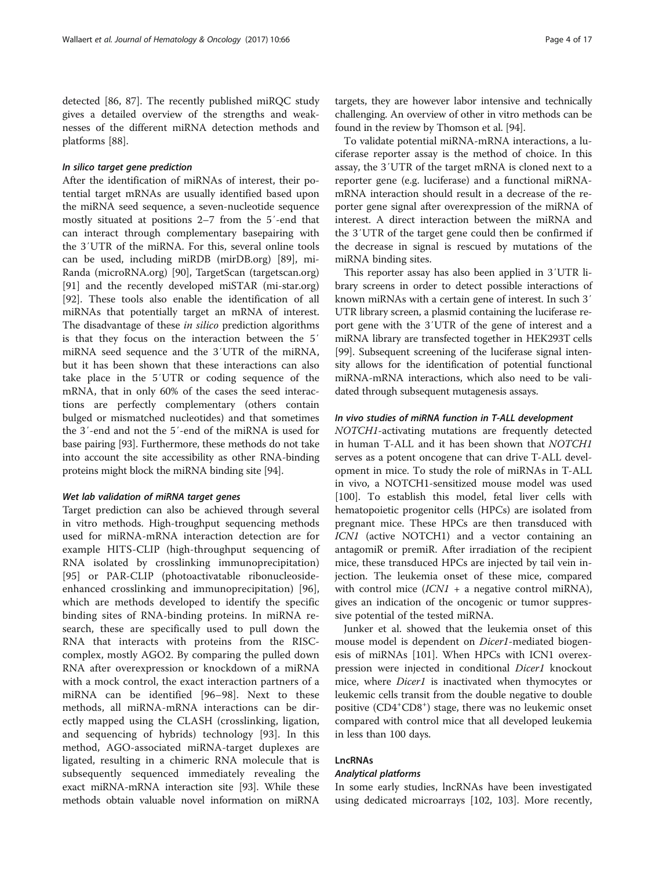detected [\[86](#page-14-0), [87](#page-14-0)]. The recently published miRQC study gives a detailed overview of the strengths and weaknesses of the different miRNA detection methods and platforms [[88\]](#page-14-0).

#### In silico target gene prediction

After the identification of miRNAs of interest, their potential target mRNAs are usually identified based upon the miRNA seed sequence, a seven-nucleotide sequence mostly situated at positions 2–7 from the 5′-end that can interact through complementary basepairing with the 3′UTR of the miRNA. For this, several online tools can be used, including miRDB (mirDB.org) [\[89](#page-14-0)], mi-Randa (microRNA.org) [\[90](#page-14-0)], TargetScan (targetscan.org) [[91\]](#page-14-0) and the recently developed miSTAR (mi-star.org) [[92\]](#page-14-0). These tools also enable the identification of all miRNAs that potentially target an mRNA of interest. The disadvantage of these in silico prediction algorithms is that they focus on the interaction between the 5′ miRNA seed sequence and the 3′UTR of the miRNA, but it has been shown that these interactions can also take place in the 5′UTR or coding sequence of the mRNA, that in only 60% of the cases the seed interactions are perfectly complementary (others contain bulged or mismatched nucleotides) and that sometimes the 3′-end and not the 5′-end of the miRNA is used for base pairing [[93](#page-14-0)]. Furthermore, these methods do not take into account the site accessibility as other RNA-binding proteins might block the miRNA binding site [\[94\]](#page-14-0).

#### Wet lab validation of miRNA target genes

Target prediction can also be achieved through several in vitro methods. High-troughput sequencing methods used for miRNA-mRNA interaction detection are for example HITS-CLIP (high-throughput sequencing of RNA isolated by crosslinking immunoprecipitation) [[95\]](#page-14-0) or PAR-CLIP (photoactivatable ribonucleosideenhanced crosslinking and immunoprecipitation) [\[96](#page-14-0)], which are methods developed to identify the specific binding sites of RNA-binding proteins. In miRNA research, these are specifically used to pull down the RNA that interacts with proteins from the RISCcomplex, mostly AGO2. By comparing the pulled down RNA after overexpression or knockdown of a miRNA with a mock control, the exact interaction partners of a miRNA can be identified [[96](#page-14-0)–[98\]](#page-14-0). Next to these methods, all miRNA-mRNA interactions can be directly mapped using the CLASH (crosslinking, ligation, and sequencing of hybrids) technology [\[93](#page-14-0)]. In this method, AGO-associated miRNA-target duplexes are ligated, resulting in a chimeric RNA molecule that is subsequently sequenced immediately revealing the exact miRNA-mRNA interaction site [\[93](#page-14-0)]. While these methods obtain valuable novel information on miRNA

targets, they are however labor intensive and technically challenging. An overview of other in vitro methods can be found in the review by Thomson et al. [\[94\]](#page-14-0).

To validate potential miRNA-mRNA interactions, a luciferase reporter assay is the method of choice. In this assay, the 3′UTR of the target mRNA is cloned next to a reporter gene (e.g. luciferase) and a functional miRNAmRNA interaction should result in a decrease of the reporter gene signal after overexpression of the miRNA of interest. A direct interaction between the miRNA and the 3′UTR of the target gene could then be confirmed if the decrease in signal is rescued by mutations of the miRNA binding sites.

This reporter assay has also been applied in 3′UTR library screens in order to detect possible interactions of known miRNAs with a certain gene of interest. In such 3′ UTR library screen, a plasmid containing the luciferase report gene with the 3′UTR of the gene of interest and a miRNA library are transfected together in HEK293T cells [[99](#page-14-0)]. Subsequent screening of the luciferase signal intensity allows for the identification of potential functional miRNA-mRNA interactions, which also need to be validated through subsequent mutagenesis assays.

#### In vivo studies of miRNA function in T-ALL development

NOTCH1-activating mutations are frequently detected in human T-ALL and it has been shown that NOTCH1 serves as a potent oncogene that can drive T-ALL development in mice. To study the role of miRNAs in T-ALL in vivo, a NOTCH1-sensitized mouse model was used [[100\]](#page-14-0). To establish this model, fetal liver cells with hematopoietic progenitor cells (HPCs) are isolated from pregnant mice. These HPCs are then transduced with ICN1 (active NOTCH1) and a vector containing an antagomiR or premiR. After irradiation of the recipient mice, these transduced HPCs are injected by tail vein injection. The leukemia onset of these mice, compared with control mice  $(ICNI + a$  negative control miRNA), gives an indication of the oncogenic or tumor suppressive potential of the tested miRNA.

Junker et al. showed that the leukemia onset of this mouse model is dependent on *Dicer1*-mediated biogenesis of miRNAs [\[101\]](#page-14-0). When HPCs with ICN1 overexpression were injected in conditional Dicer1 knockout mice, where *Dicer1* is inactivated when thymocytes or leukemic cells transit from the double negative to double positive (CD4<sup>+</sup>CD8<sup>+</sup>) stage, there was no leukemic onset compared with control mice that all developed leukemia in less than 100 days.

# LncRNAs

# Analytical platforms

In some early studies, lncRNAs have been investigated using dedicated microarrays [[102, 103\]](#page-14-0). More recently,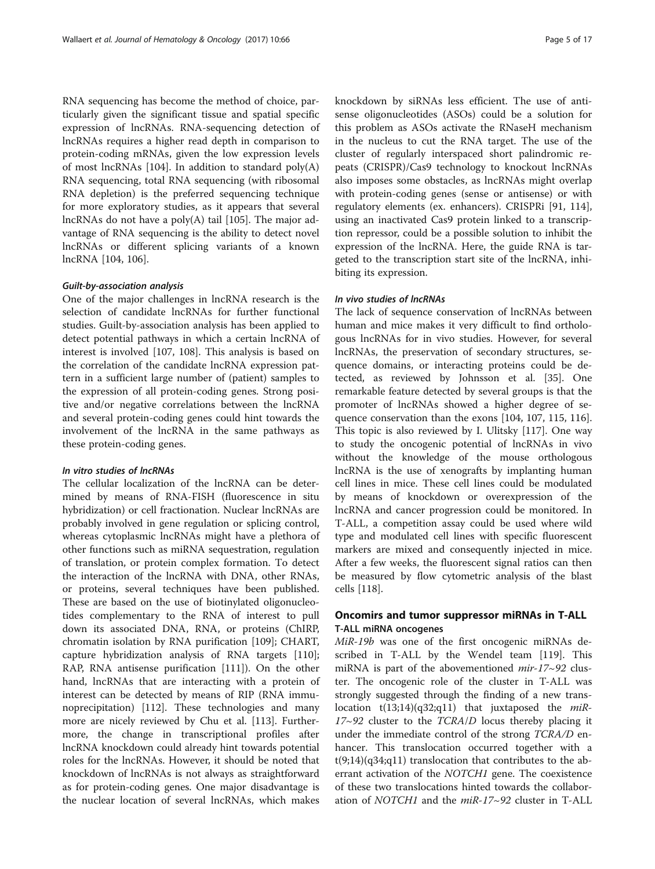RNA sequencing has become the method of choice, particularly given the significant tissue and spatial specific expression of lncRNAs. RNA-sequencing detection of lncRNAs requires a higher read depth in comparison to protein-coding mRNAs, given the low expression levels of most lncRNAs [[104](#page-14-0)]. In addition to standard poly(A) RNA sequencing, total RNA sequencing (with ribosomal RNA depletion) is the preferred sequencing technique for more exploratory studies, as it appears that several lncRNAs do not have a poly(A) tail [\[105\]](#page-14-0). The major advantage of RNA sequencing is the ability to detect novel lncRNAs or different splicing variants of a known lncRNA [[104](#page-14-0), [106](#page-14-0)].

#### Guilt-by-association analysis

One of the major challenges in lncRNA research is the selection of candidate lncRNAs for further functional studies. Guilt-by-association analysis has been applied to detect potential pathways in which a certain lncRNA of interest is involved [\[107, 108](#page-14-0)]. This analysis is based on the correlation of the candidate lncRNA expression pattern in a sufficient large number of (patient) samples to the expression of all protein-coding genes. Strong positive and/or negative correlations between the lncRNA and several protein-coding genes could hint towards the involvement of the lncRNA in the same pathways as these protein-coding genes.

# In vitro studies of lncRNAs

The cellular localization of the lncRNA can be determined by means of RNA-FISH (fluorescence in situ hybridization) or cell fractionation. Nuclear lncRNAs are probably involved in gene regulation or splicing control, whereas cytoplasmic lncRNAs might have a plethora of other functions such as miRNA sequestration, regulation of translation, or protein complex formation. To detect the interaction of the lncRNA with DNA, other RNAs, or proteins, several techniques have been published. These are based on the use of biotinylated oligonucleotides complementary to the RNA of interest to pull down its associated DNA, RNA, or proteins (ChIRP, chromatin isolation by RNA purification [[109\]](#page-14-0); CHART, capture hybridization analysis of RNA targets [\[110](#page-14-0)]; RAP, RNA antisense purification [[111](#page-14-0)]). On the other hand, lncRNAs that are interacting with a protein of interest can be detected by means of RIP (RNA immunoprecipitation) [[112\]](#page-14-0). These technologies and many more are nicely reviewed by Chu et al. [\[113\]](#page-14-0). Furthermore, the change in transcriptional profiles after lncRNA knockdown could already hint towards potential roles for the lncRNAs. However, it should be noted that knockdown of lncRNAs is not always as straightforward as for protein-coding genes. One major disadvantage is the nuclear location of several lncRNAs, which makes knockdown by siRNAs less efficient. The use of antisense oligonucleotides (ASOs) could be a solution for this problem as ASOs activate the RNaseH mechanism in the nucleus to cut the RNA target. The use of the cluster of regularly interspaced short palindromic repeats (CRISPR)/Cas9 technology to knockout lncRNAs also imposes some obstacles, as lncRNAs might overlap with protein-coding genes (sense or antisense) or with regulatory elements (ex. enhancers). CRISPRi [\[91](#page-14-0), [114](#page-14-0)], using an inactivated Cas9 protein linked to a transcription repressor, could be a possible solution to inhibit the expression of the lncRNA. Here, the guide RNA is targeted to the transcription start site of the lncRNA, inhibiting its expression.

# In vivo studies of lncRNAs

The lack of sequence conservation of lncRNAs between human and mice makes it very difficult to find orthologous lncRNAs for in vivo studies. However, for several lncRNAs, the preservation of secondary structures, sequence domains, or interacting proteins could be detected, as reviewed by Johnsson et al. [\[35\]](#page-13-0). One remarkable feature detected by several groups is that the promoter of lncRNAs showed a higher degree of sequence conservation than the exons [[104, 107, 115](#page-14-0), [116](#page-14-0)]. This topic is also reviewed by I. Ulitsky [[117\]](#page-14-0). One way to study the oncogenic potential of lncRNAs in vivo without the knowledge of the mouse orthologous lncRNA is the use of xenografts by implanting human cell lines in mice. These cell lines could be modulated by means of knockdown or overexpression of the lncRNA and cancer progression could be monitored. In T-ALL, a competition assay could be used where wild type and modulated cell lines with specific fluorescent markers are mixed and consequently injected in mice. After a few weeks, the fluorescent signal ratios can then be measured by flow cytometric analysis of the blast cells [[118](#page-15-0)].

# Oncomirs and tumor suppressor miRNAs in T-ALL T-ALL miRNA oncogenes

MiR-19b was one of the first oncogenic miRNAs described in T-ALL by the Wendel team [[119](#page-15-0)]. This miRNA is part of the abovementioned *mir-17* $\sim$ 92 cluster. The oncogenic role of the cluster in T-ALL was strongly suggested through the finding of a new translocation t(13;14)(q32;q11) that juxtaposed the  $miR$ - $17~92$  cluster to the  $TCRA/D$  locus thereby placing it under the immediate control of the strong TCRA/D enhancer. This translocation occurred together with a  $t(9;14)(q34;q11)$  translocation that contributes to the aberrant activation of the NOTCH1 gene. The coexistence of these two translocations hinted towards the collaboration of NOTCH1 and the miR-17~92 cluster in T-ALL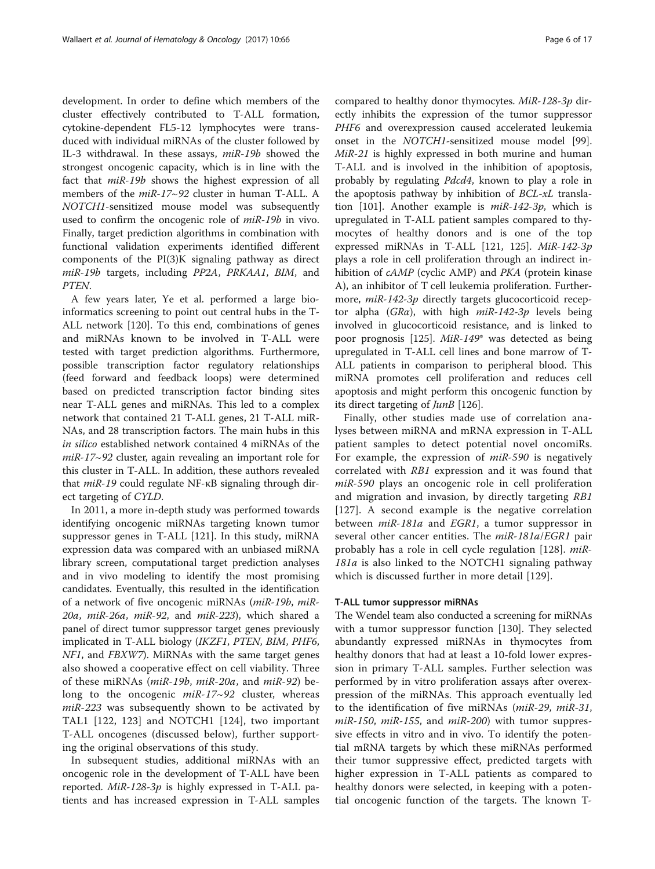development. In order to define which members of the cluster effectively contributed to T-ALL formation, cytokine-dependent FL5-12 lymphocytes were transduced with individual miRNAs of the cluster followed by IL-3 withdrawal. In these assays, miR-19b showed the strongest oncogenic capacity, which is in line with the fact that miR-19b shows the highest expression of all members of the *miR-17~92* cluster in human T-ALL. A NOTCH1-sensitized mouse model was subsequently used to confirm the oncogenic role of miR-19b in vivo. Finally, target prediction algorithms in combination with functional validation experiments identified different components of the PI(3)K signaling pathway as direct miR-19b targets, including PP2A, PRKAA1, BIM, and PTEN.

A few years later, Ye et al. performed a large bioinformatics screening to point out central hubs in the T-ALL network [[120\]](#page-15-0). To this end, combinations of genes and miRNAs known to be involved in T-ALL were tested with target prediction algorithms. Furthermore, possible transcription factor regulatory relationships (feed forward and feedback loops) were determined based on predicted transcription factor binding sites near T-ALL genes and miRNAs. This led to a complex network that contained 21 T-ALL genes, 21 T-ALL miR-NAs, and 28 transcription factors. The main hubs in this in silico established network contained 4 miRNAs of the miR-17~92 cluster, again revealing an important role for this cluster in T-ALL. In addition, these authors revealed that miR-19 could regulate NF-κB signaling through direct targeting of CYLD.

In 2011, a more in-depth study was performed towards identifying oncogenic miRNAs targeting known tumor suppressor genes in T-ALL [[121\]](#page-15-0). In this study, miRNA expression data was compared with an unbiased miRNA library screen, computational target prediction analyses and in vivo modeling to identify the most promising candidates. Eventually, this resulted in the identification of a network of five oncogenic miRNAs (miR-19b, miR-20a, miR-26a, miR-92, and miR-223), which shared a panel of direct tumor suppressor target genes previously implicated in T-ALL biology (IKZF1, PTEN, BIM, PHF6, NF1, and FBXW7). MiRNAs with the same target genes also showed a cooperative effect on cell viability. Three of these miRNAs (miR-19b, miR-20a, and miR-92) belong to the oncogenic  $miR-17~92$  cluster, whereas  $miR-223$  was subsequently shown to be activated by TAL1 [\[122, 123\]](#page-15-0) and NOTCH1 [[124](#page-15-0)], two important T-ALL oncogenes (discussed below), further supporting the original observations of this study.

In subsequent studies, additional miRNAs with an oncogenic role in the development of T-ALL have been reported. MiR-128-3p is highly expressed in T-ALL patients and has increased expression in T-ALL samples compared to healthy donor thymocytes. MiR-128-3p directly inhibits the expression of the tumor suppressor PHF6 and overexpression caused accelerated leukemia onset in the NOTCH1-sensitized mouse model [\[99](#page-14-0)]. MiR-21 is highly expressed in both murine and human T-ALL and is involved in the inhibition of apoptosis, probably by regulating Pdcd4, known to play a role in the apoptosis pathway by inhibition of BCL-xL transla-tion [[101](#page-14-0)]. Another example is  $miR-142-3p$ , which is upregulated in T-ALL patient samples compared to thymocytes of healthy donors and is one of the top expressed miRNAs in T-ALL [\[121, 125](#page-15-0)]. MiR-142-3p plays a role in cell proliferation through an indirect inhibition of cAMP (cyclic AMP) and PKA (protein kinase A), an inhibitor of T cell leukemia proliferation. Furthermore, miR-142-3p directly targets glucocorticoid receptor alpha ( $GR\alpha$ ), with high  $miR-142-3p$  levels being involved in glucocorticoid resistance, and is linked to poor prognosis [[125\]](#page-15-0). MiR-149\* was detected as being upregulated in T-ALL cell lines and bone marrow of T-ALL patients in comparison to peripheral blood. This miRNA promotes cell proliferation and reduces cell apoptosis and might perform this oncogenic function by its direct targeting of JunB [[126](#page-15-0)].

Finally, other studies made use of correlation analyses between miRNA and mRNA expression in T-ALL patient samples to detect potential novel oncomiRs. For example, the expression of *miR-590* is negatively correlated with RB1 expression and it was found that miR-590 plays an oncogenic role in cell proliferation and migration and invasion, by directly targeting RB1 [[127](#page-15-0)]. A second example is the negative correlation between miR-181a and EGR1, a tumor suppressor in several other cancer entities. The miR-181a/EGR1 pair probably has a role in cell cycle regulation [[128](#page-15-0)]. miR-181a is also linked to the NOTCH1 signaling pathway which is discussed further in more detail [[129](#page-15-0)].

# T-ALL tumor suppressor miRNAs

The Wendel team also conducted a screening for miRNAs with a tumor suppressor function [\[130](#page-15-0)]. They selected abundantly expressed miRNAs in thymocytes from healthy donors that had at least a 10-fold lower expression in primary T-ALL samples. Further selection was performed by in vitro proliferation assays after overexpression of the miRNAs. This approach eventually led to the identification of five miRNAs (miR-29, miR-31,  $miR-150$ ,  $miR-155$ , and  $miR-200$ ) with tumor suppressive effects in vitro and in vivo. To identify the potential mRNA targets by which these miRNAs performed their tumor suppressive effect, predicted targets with higher expression in T-ALL patients as compared to healthy donors were selected, in keeping with a potential oncogenic function of the targets. The known T-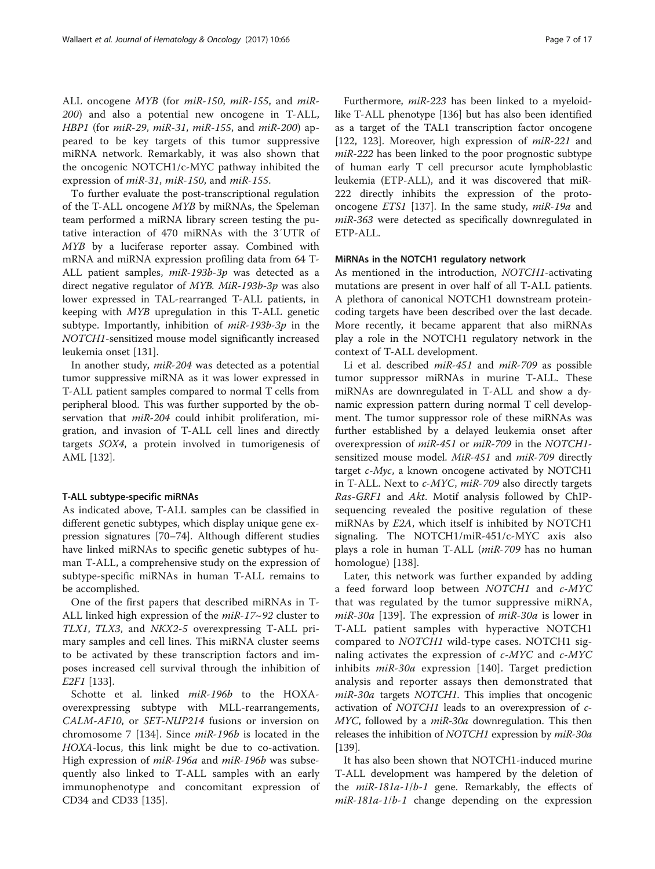ALL oncogene MYB (for miR-150, miR-155, and miR-200) and also a potential new oncogene in T-ALL, HBP1 (for miR-29, miR-31, miR-155, and miR-200) appeared to be key targets of this tumor suppressive miRNA network. Remarkably, it was also shown that the oncogenic NOTCH1/c-MYC pathway inhibited the expression of miR-31, miR-150, and miR-155.

To further evaluate the post-transcriptional regulation of the T-ALL oncogene MYB by miRNAs, the Speleman team performed a miRNA library screen testing the putative interaction of 470 miRNAs with the 3′UTR of MYB by a luciferase reporter assay. Combined with mRNA and miRNA expression profiling data from 64 T-ALL patient samples,  $miR-193b-3p$  was detected as a direct negative regulator of MYB. MiR-193b-3p was also lower expressed in TAL-rearranged T-ALL patients, in keeping with MYB upregulation in this T-ALL genetic subtype. Importantly, inhibition of miR-193b-3p in the NOTCH1-sensitized mouse model significantly increased leukemia onset [\[131](#page-15-0)].

In another study, miR-204 was detected as a potential tumor suppressive miRNA as it was lower expressed in T-ALL patient samples compared to normal T cells from peripheral blood. This was further supported by the observation that  $miR-204$  could inhibit proliferation, migration, and invasion of T-ALL cell lines and directly targets SOX4, a protein involved in tumorigenesis of AML [[132](#page-15-0)].

# T-ALL subtype-specific miRNAs

As indicated above, T-ALL samples can be classified in different genetic subtypes, which display unique gene expression signatures [\[70](#page-14-0)–[74\]](#page-14-0). Although different studies have linked miRNAs to specific genetic subtypes of human T-ALL, a comprehensive study on the expression of subtype-specific miRNAs in human T-ALL remains to be accomplished.

One of the first papers that described miRNAs in T-ALL linked high expression of the miR-17~92 cluster to TLX1, TLX3, and NKX2-5 overexpressing T-ALL primary samples and cell lines. This miRNA cluster seems to be activated by these transcription factors and imposes increased cell survival through the inhibition of E2F1 [[133\]](#page-15-0).

Schotte et al. linked miR-196b to the HOXAoverexpressing subtype with MLL-rearrangements, CALM-AF10, or SET-NUP214 fusions or inversion on chromosome 7 [[134\]](#page-15-0). Since miR-196b is located in the HOXA-locus, this link might be due to co-activation. High expression of *miR-196a* and *miR-196b* was subsequently also linked to T-ALL samples with an early immunophenotype and concomitant expression of CD34 and CD33 [[135](#page-15-0)].

Furthermore, miR-223 has been linked to a myeloidlike T-ALL phenotype [[136](#page-15-0)] but has also been identified as a target of the TAL1 transcription factor oncogene [[122, 123](#page-15-0)]. Moreover, high expression of *miR-221* and miR-222 has been linked to the poor prognostic subtype of human early T cell precursor acute lymphoblastic leukemia (ETP-ALL), and it was discovered that miR-222 directly inhibits the expression of the protooncogene ETS1 [[137\]](#page-15-0). In the same study, miR-19a and miR-363 were detected as specifically downregulated in ETP-ALL.

#### MiRNAs in the NOTCH1 regulatory network

As mentioned in the introduction, NOTCH1-activating mutations are present in over half of all T-ALL patients. A plethora of canonical NOTCH1 downstream proteincoding targets have been described over the last decade. More recently, it became apparent that also miRNAs play a role in the NOTCH1 regulatory network in the context of T-ALL development.

Li et al. described miR-451 and miR-709 as possible tumor suppressor miRNAs in murine T-ALL. These miRNAs are downregulated in T-ALL and show a dynamic expression pattern during normal T cell development. The tumor suppressor role of these miRNAs was further established by a delayed leukemia onset after overexpression of miR-451 or miR-709 in the NOTCH1 sensitized mouse model. MiR-451 and miR-709 directly target  $c$ -*Myc*, a known oncogene activated by NOTCH1 in T-ALL. Next to c-MYC, miR-709 also directly targets Ras-GRF1 and Akt. Motif analysis followed by ChIPsequencing revealed the positive regulation of these miRNAs by E2A, which itself is inhibited by NOTCH1 signaling. The NOTCH1/miR-451/c-MYC axis also plays a role in human T-ALL (miR-709 has no human homologue) [[138\]](#page-15-0).

Later, this network was further expanded by adding a feed forward loop between NOTCH1 and c-MYC that was regulated by the tumor suppressive miRNA,  $miR-30a$  [[139](#page-15-0)]. The expression of  $miR-30a$  is lower in T-ALL patient samples with hyperactive NOTCH1 compared to NOTCH1 wild-type cases. NOTCH1 signaling activates the expression of  $c$ -MYC and  $c$ -MYC inhibits  $miR-30a$  expression [[140](#page-15-0)]. Target prediction analysis and reporter assays then demonstrated that miR-30a targets NOTCH1. This implies that oncogenic activation of NOTCH1 leads to an overexpression of c-MYC, followed by a *miR-30a* downregulation. This then releases the inhibition of *NOTCH1* expression by *miR-30a* [[139](#page-15-0)].

It has also been shown that NOTCH1-induced murine T-ALL development was hampered by the deletion of the miR-181a-1/b-1 gene. Remarkably, the effects of  $miR-181a-1/b-1$  change depending on the expression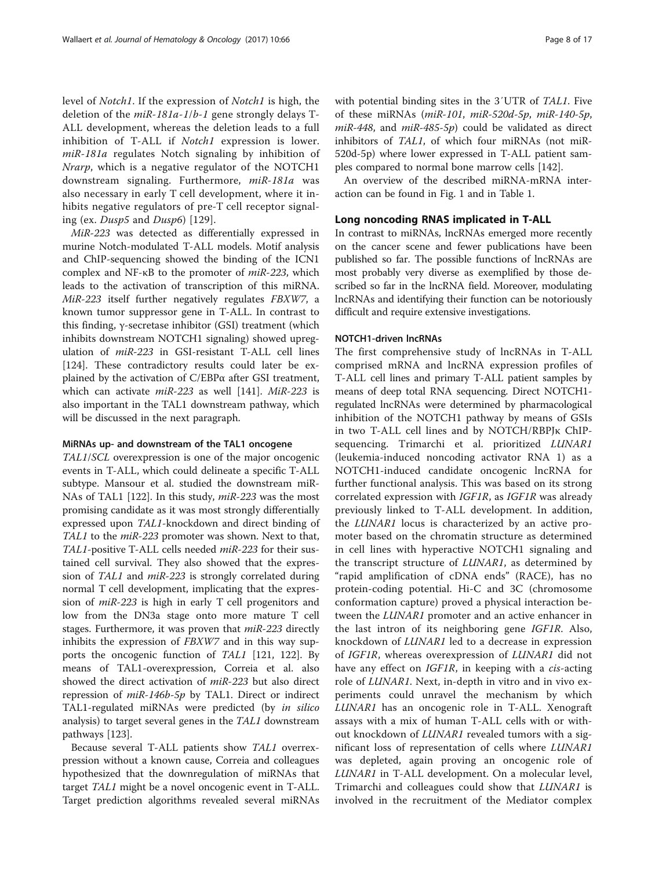level of Notch1. If the expression of Notch1 is high, the deletion of the miR-181a-1/b-1 gene strongly delays T-ALL development, whereas the deletion leads to a full inhibition of T-ALL if Notch1 expression is lower. miR-181a regulates Notch signaling by inhibition of Nrarp, which is a negative regulator of the NOTCH1 downstream signaling. Furthermore, miR-181a was also necessary in early T cell development, where it inhibits negative regulators of pre-T cell receptor signaling (ex. Dusp5 and Dusp6) [[129\]](#page-15-0).

MiR-223 was detected as differentially expressed in murine Notch-modulated T-ALL models. Motif analysis and ChIP-sequencing showed the binding of the ICN1 complex and NF-κB to the promoter of miR-223, which leads to the activation of transcription of this miRNA. MiR-223 itself further negatively regulates FBXW7, a known tumor suppressor gene in T-ALL. In contrast to this finding, γ-secretase inhibitor (GSI) treatment (which inhibits downstream NOTCH1 signaling) showed upregulation of miR-223 in GSI-resistant T-ALL cell lines [[124\]](#page-15-0). These contradictory results could later be explained by the activation of C/EBPα after GSI treatment, which can activate  $miR-223$  as well [[141](#page-15-0)]. MiR-223 is also important in the TAL1 downstream pathway, which will be discussed in the next paragraph.

#### MiRNAs up- and downstream of the TAL1 oncogene

TAL1/SCL overexpression is one of the major oncogenic events in T-ALL, which could delineate a specific T-ALL subtype. Mansour et al. studied the downstream miR-NAs of TAL1 [[122](#page-15-0)]. In this study, miR-223 was the most promising candidate as it was most strongly differentially expressed upon TAL1-knockdown and direct binding of TAL1 to the miR-223 promoter was shown. Next to that, TAL1-positive T-ALL cells needed miR-223 for their sustained cell survival. They also showed that the expression of TAL1 and miR-223 is strongly correlated during normal T cell development, implicating that the expression of miR-223 is high in early T cell progenitors and low from the DN3a stage onto more mature T cell stages. Furthermore, it was proven that miR-223 directly inhibits the expression of FBXW7 and in this way supports the oncogenic function of TAL1 [[121](#page-15-0), [122\]](#page-15-0). By means of TAL1-overexpression, Correia et al. also showed the direct activation of miR-223 but also direct repression of miR-146b-5p by TAL1. Direct or indirect TAL1-regulated miRNAs were predicted (by in silico analysis) to target several genes in the TAL1 downstream pathways [\[123](#page-15-0)].

Because several T-ALL patients show TAL1 overrexpression without a known cause, Correia and colleagues hypothesized that the downregulation of miRNAs that target TAL1 might be a novel oncogenic event in T-ALL. Target prediction algorithms revealed several miRNAs with potential binding sites in the 3′UTR of TAL1. Five of these miRNAs (miR-101, miR-520d-5p, miR-140-5p,  $miR-448$ , and  $miR-485-5p$  could be validated as direct inhibitors of TAL1, of which four miRNAs (not miR-520d-5p) where lower expressed in T-ALL patient samples compared to normal bone marrow cells [\[142](#page-15-0)].

An overview of the described miRNA-mRNA interaction can be found in Fig. [1](#page-8-0) and in Table [1](#page-9-0).

# Long noncoding RNAS implicated in T-ALL

In contrast to miRNAs, lncRNAs emerged more recently on the cancer scene and fewer publications have been published so far. The possible functions of lncRNAs are most probably very diverse as exemplified by those described so far in the lncRNA field. Moreover, modulating lncRNAs and identifying their function can be notoriously difficult and require extensive investigations.

#### NOTCH1-driven lncRNAs

The first comprehensive study of lncRNAs in T-ALL comprised mRNA and lncRNA expression profiles of T-ALL cell lines and primary T-ALL patient samples by means of deep total RNA sequencing. Direct NOTCH1 regulated lncRNAs were determined by pharmacological inhibition of the NOTCH1 pathway by means of GSIs in two T-ALL cell lines and by NOTCH/RBPJκ ChIPsequencing. Trimarchi et al. prioritized LUNAR1 (leukemia-induced noncoding activator RNA 1) as a NOTCH1-induced candidate oncogenic lncRNA for further functional analysis. This was based on its strong correlated expression with IGF1R, as IGF1R was already previously linked to T-ALL development. In addition, the LUNAR1 locus is characterized by an active promoter based on the chromatin structure as determined in cell lines with hyperactive NOTCH1 signaling and the transcript structure of LUNAR1, as determined by "rapid amplification of cDNA ends" (RACE), has no protein-coding potential. Hi-C and 3C (chromosome conformation capture) proved a physical interaction between the LUNAR1 promoter and an active enhancer in the last intron of its neighboring gene IGF1R. Also, knockdown of LUNAR1 led to a decrease in expression of IGF1R, whereas overexpression of LUNAR1 did not have any effect on *IGF1R*, in keeping with a *cis*-acting role of LUNAR1. Next, in-depth in vitro and in vivo experiments could unravel the mechanism by which LUNAR1 has an oncogenic role in T-ALL. Xenograft assays with a mix of human T-ALL cells with or without knockdown of *LUNAR1* revealed tumors with a significant loss of representation of cells where LUNAR1 was depleted, again proving an oncogenic role of LUNAR1 in T-ALL development. On a molecular level, Trimarchi and colleagues could show that LUNAR1 is involved in the recruitment of the Mediator complex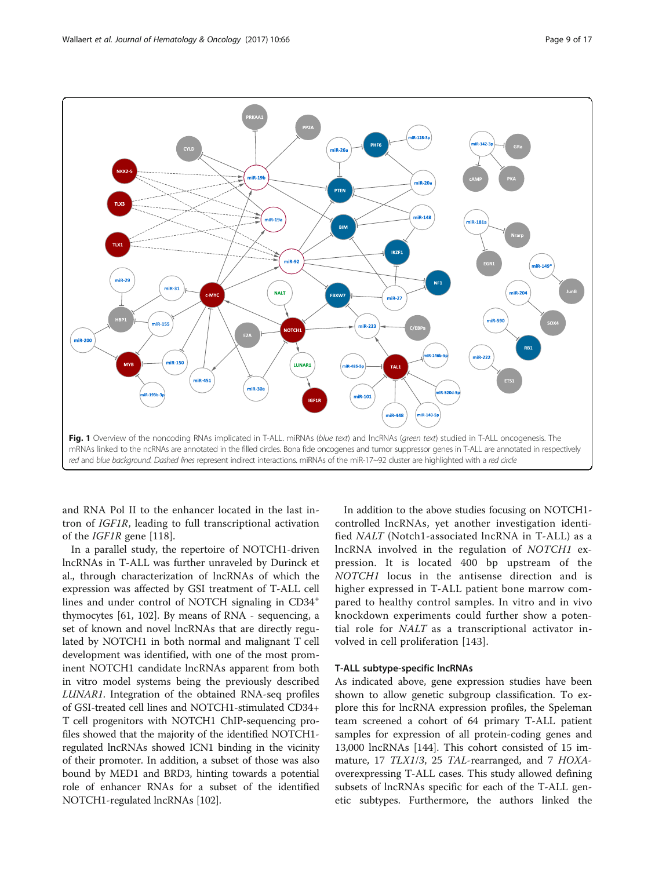<span id="page-8-0"></span>

and RNA Pol II to the enhancer located in the last intron of IGF1R, leading to full transcriptional activation of the IGF1R gene [[118](#page-15-0)].

In a parallel study, the repertoire of NOTCH1-driven lncRNAs in T-ALL was further unraveled by Durinck et al., through characterization of lncRNAs of which the expression was affected by GSI treatment of T-ALL cell lines and under control of NOTCH signaling in CD34<sup>+</sup> thymocytes [[61,](#page-13-0) [102\]](#page-14-0). By means of RNA - sequencing, a set of known and novel lncRNAs that are directly regulated by NOTCH1 in both normal and malignant T cell development was identified, with one of the most prominent NOTCH1 candidate lncRNAs apparent from both in vitro model systems being the previously described LUNAR1. Integration of the obtained RNA-seq profiles of GSI-treated cell lines and NOTCH1-stimulated CD34+ T cell progenitors with NOTCH1 ChIP-sequencing profiles showed that the majority of the identified NOTCH1 regulated lncRNAs showed ICN1 binding in the vicinity of their promoter. In addition, a subset of those was also bound by MED1 and BRD3, hinting towards a potential role of enhancer RNAs for a subset of the identified NOTCH1-regulated lncRNAs [[102](#page-14-0)].

In addition to the above studies focusing on NOTCH1 controlled lncRNAs, yet another investigation identified NALT (Notch1-associated lncRNA in T-ALL) as a lncRNA involved in the regulation of NOTCH1 expression. It is located 400 bp upstream of the NOTCH1 locus in the antisense direction and is higher expressed in T-ALL patient bone marrow compared to healthy control samples. In vitro and in vivo knockdown experiments could further show a potential role for NALT as a transcriptional activator involved in cell proliferation [\[143\]](#page-15-0).

#### T-ALL subtype-specific lncRNAs

As indicated above, gene expression studies have been shown to allow genetic subgroup classification. To explore this for lncRNA expression profiles, the Speleman team screened a cohort of 64 primary T-ALL patient samples for expression of all protein-coding genes and 13,000 lncRNAs [\[144](#page-15-0)]. This cohort consisted of 15 immature, 17 TLX1/3, 25 TAL-rearranged, and 7 HOXAoverexpressing T-ALL cases. This study allowed defining subsets of lncRNAs specific for each of the T-ALL genetic subtypes. Furthermore, the authors linked the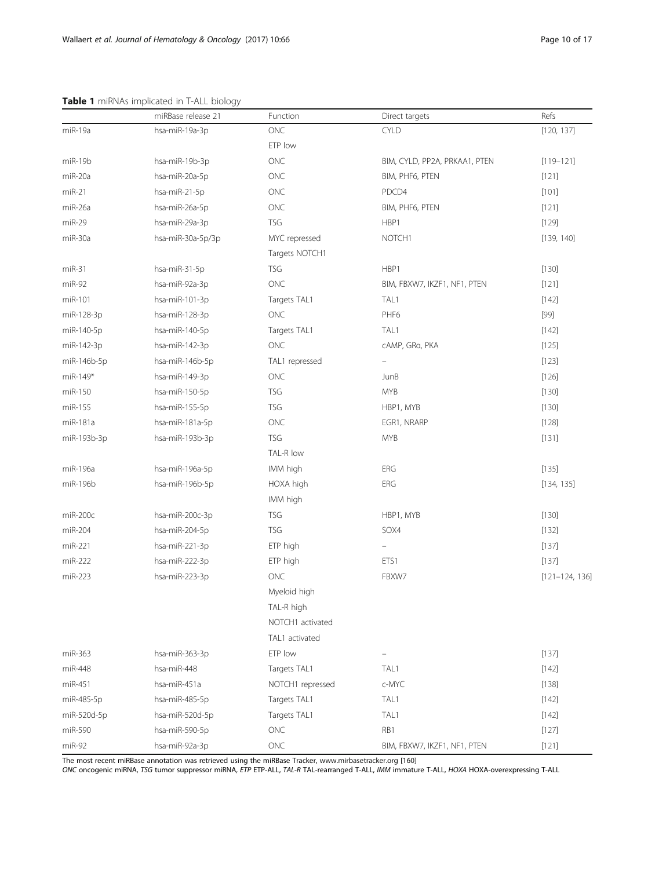# <span id="page-9-0"></span>Table 1 miRNAs implicated in T-ALL biology

|             | miRBase release 21 | Function         | Direct targets                | Refs               |
|-------------|--------------------|------------------|-------------------------------|--------------------|
| miR-19a     | hsa-miR-19a-3p     | <b>ONC</b>       | <b>CYLD</b>                   | [120, 137]         |
|             |                    | ETP low          |                               |                    |
| miR-19b     | hsa-miR-19b-3p     | ONC              | BIM, CYLD, PP2A, PRKAA1, PTEN | $[119 - 121]$      |
| miR-20a     | hsa-miR-20a-5p     | <b>ONC</b>       | BIM, PHF6, PTEN               | [121]              |
| $miR-21$    | hsa-miR-21-5p      | ONC              | PDCD4                         | [101]              |
| miR-26a     | hsa-miR-26a-5p     | ONC              | BIM, PHF6, PTEN               | [121]              |
| $miR-29$    | hsa-miR-29a-3p     | <b>TSG</b>       | HBP1                          | [129]              |
| miR-30a     | hsa-miR-30a-5p/3p  | MYC repressed    | NOTCH <sub>1</sub>            | [139, 140]         |
|             |                    | Targets NOTCH1   |                               |                    |
| $miR-31$    | hsa-miR-31-5p      | <b>TSG</b>       | HBP1                          | [130]              |
| $miR-92$    | hsa-miR-92a-3p     | ONC              | BIM, FBXW7, IKZF1, NF1, PTEN  | [121]              |
| miR-101     | hsa-miR-101-3p     | Targets TAL1     | TAL1                          | [142]              |
| miR-128-3p  | hsa-miR-128-3p     | ONC              | PHF6                          | $[99]$             |
| miR-140-5p  | hsa-miR-140-5p     | Targets TAL1     | TAL1                          | [142]              |
| miR-142-3p  | hsa-miR-142-3p     | $\mathsf{ONC}$   | cAMP, GRa, PKA                | [125]              |
| miR-146b-5p | hsa-miR-146b-5p    | TAL1 repressed   |                               | [123]              |
| $miR-149*$  | hsa-miR-149-3p     | ONC              | <b>JunB</b>                   | [126]              |
| miR-150     | hsa-miR-150-5p     | <b>TSG</b>       | <b>MYB</b>                    | [130]              |
| miR-155     | hsa-miR-155-5p     | <b>TSG</b>       | HBP1, MYB                     | [130]              |
| miR-181a    | hsa-miR-181a-5p    | ONC              | EGR1, NRARP                   | [128]              |
| miR-193b-3p | hsa-miR-193b-3p    | <b>TSG</b>       | <b>MYB</b>                    | [131]              |
|             |                    | TAL-R low        |                               |                    |
| miR-196a    | hsa-miR-196a-5p    | IMM high         | ERG                           | [135]              |
| miR-196b    | hsa-miR-196b-5p    | HOXA high        | ERG                           | [134, 135]         |
|             |                    | IMM high         |                               |                    |
| $miR-200c$  | hsa-miR-200c-3p    | <b>TSG</b>       | HBP1, MYB                     | [130]              |
| miR-204     | hsa-miR-204-5p     | <b>TSG</b>       | SOX4                          | [132]              |
| miR-221     | hsa-miR-221-3p     | ETP high         | -                             | [137]              |
| miR-222     | hsa-miR-222-3p     | ETP high         | ETS1                          | [137]              |
| miR-223     | hsa-miR-223-3p     | ONC              | FBXW7                         | $[121 - 124, 136]$ |
|             |                    | Myeloid high     |                               |                    |
|             |                    | TAL-R high       |                               |                    |
|             |                    | NOTCH1 activated |                               |                    |
|             |                    | TAL1 activated   |                               |                    |
| miR-363     | hsa-miR-363-3p     | ETP low          |                               | [137]              |
| miR-448     | hsa-miR-448        | Targets TAL1     | TAL1                          | $[142]$            |
| miR-451     | hsa-miR-451a       | NOTCH1 repressed | c-MYC                         | [138]              |
| miR-485-5p  | hsa-miR-485-5p     | Targets TAL1     | TAL1                          | $[142]$            |
| miR-520d-5p | hsa-miR-520d-5p    | Targets TAL1     | TAL1                          | $[142]$            |
| miR-590     | hsa-miR-590-5p     | ONC              | RB1                           | [127]              |
| $miR-92$    | hsa-miR-92a-3p     | $\mathsf{ONC}$   | BIM, FBXW7, IKZF1, NF1, PTEN  | [121]              |

The most recent miRBase annotation was retrieved using the miRBase Tracker, [www.mirbasetracker.org](http://www.mirbasetracker.org) [\[160](#page-16-0)]

ONC oncogenic miRNA, TSG tumor suppressor miRNA, ETP ETP-ALL, TAL-R TAL-rearranged T-ALL, *IMM* immature T-ALL, HOXA HOXA-overexpressing T-ALL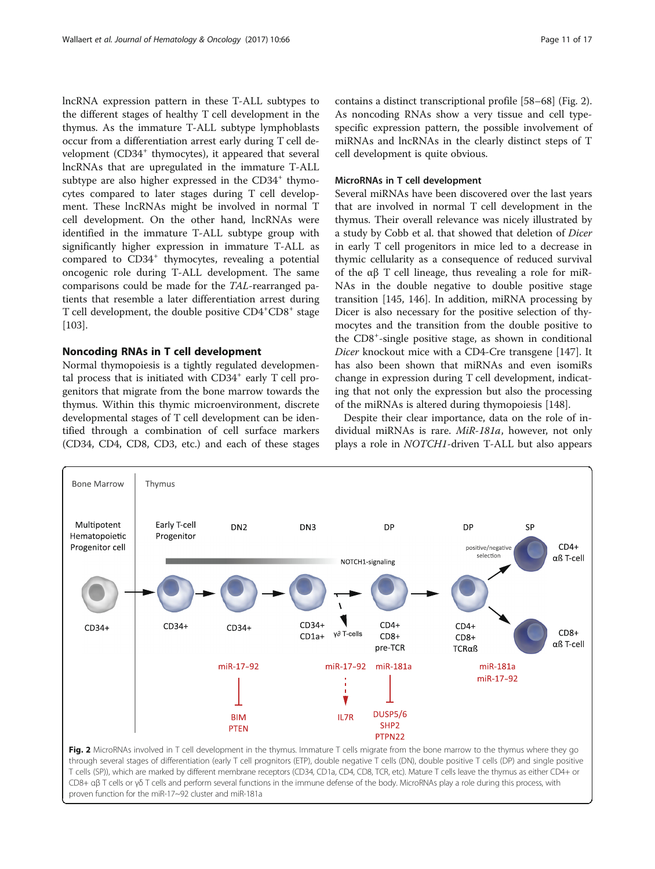<span id="page-10-0"></span>lncRNA expression pattern in these T-ALL subtypes to the different stages of healthy T cell development in the thymus. As the immature T-ALL subtype lymphoblasts occur from a differentiation arrest early during T cell development (CD34<sup>+</sup> thymocytes), it appeared that several lncRNAs that are upregulated in the immature T-ALL subtype are also higher expressed in the  $CD34<sup>+</sup>$  thymocytes compared to later stages during T cell development. These lncRNAs might be involved in normal T cell development. On the other hand, lncRNAs were identified in the immature T-ALL subtype group with significantly higher expression in immature T-ALL as compared to CD34<sup>+</sup> thymocytes, revealing a potential oncogenic role during T-ALL development. The same comparisons could be made for the TAL-rearranged patients that resemble a later differentiation arrest during T cell development, the double positive CD4<sup>+</sup>CD8<sup>+</sup> stage [[103\]](#page-14-0).

# Noncoding RNAs in T cell development

Normal thymopoiesis is a tightly regulated developmental process that is initiated with  $CD34<sup>+</sup>$  early T cell progenitors that migrate from the bone marrow towards the thymus. Within this thymic microenvironment, discrete developmental stages of T cell development can be identified through a combination of cell surface markers (CD34, CD4, CD8, CD3, etc.) and each of these stages

contains a distinct transcriptional profile [\[58](#page-13-0)–[68](#page-14-0)] (Fig. 2). As noncoding RNAs show a very tissue and cell typespecific expression pattern, the possible involvement of miRNAs and lncRNAs in the clearly distinct steps of T cell development is quite obvious.

# MicroRNAs in T cell development

Several miRNAs have been discovered over the last years that are involved in normal T cell development in the thymus. Their overall relevance was nicely illustrated by a study by Cobb et al. that showed that deletion of Dicer in early T cell progenitors in mice led to a decrease in thymic cellularity as a consequence of reduced survival of the  $\alpha\beta$  T cell lineage, thus revealing a role for miR-NAs in the double negative to double positive stage transition [[145, 146](#page-15-0)]. In addition, miRNA processing by Dicer is also necessary for the positive selection of thymocytes and the transition from the double positive to the CD8<sup>+</sup> -single positive stage, as shown in conditional Dicer knockout mice with a CD4-Cre transgene [[147\]](#page-15-0). It has also been shown that miRNAs and even isomiRs change in expression during T cell development, indicating that not only the expression but also the processing of the miRNAs is altered during thymopoiesis [\[148\]](#page-15-0).

Despite their clear importance, data on the role of individual miRNAs is rare. MiR-181a, however, not only plays a role in NOTCH1-driven T-ALL but also appears



proven function for the miR-17~92 cluster and miR-181a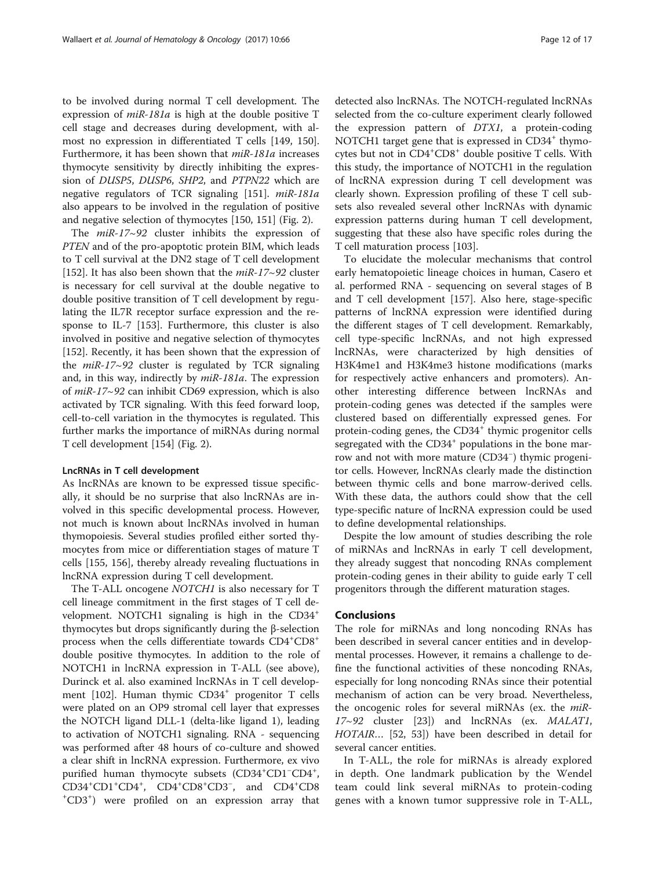to be involved during normal T cell development. The expression of miR-181a is high at the double positive T cell stage and decreases during development, with almost no expression in differentiated T cells [\[149](#page-15-0), [150](#page-15-0)]. Furthermore, it has been shown that miR-181a increases thymocyte sensitivity by directly inhibiting the expression of DUSP5, DUSP6, SHP2, and PTPN22 which are negative regulators of TCR signaling [\[151\]](#page-15-0). miR-181a also appears to be involved in the regulation of positive and negative selection of thymocytes [\[150](#page-15-0), [151\]](#page-15-0) (Fig. [2](#page-10-0)).

The  $miR-17~92$  cluster inhibits the expression of PTEN and of the pro-apoptotic protein BIM, which leads to T cell survival at the DN2 stage of T cell development [[152\]](#page-15-0). It has also been shown that the  $miR-17~92$  cluster is necessary for cell survival at the double negative to double positive transition of T cell development by regulating the IL7R receptor surface expression and the response to IL-7 [[153](#page-15-0)]. Furthermore, this cluster is also involved in positive and negative selection of thymocytes [[152\]](#page-15-0). Recently, it has been shown that the expression of the  $miR-17~92$  cluster is regulated by TCR signaling and, in this way, indirectly by miR-181a. The expression of miR-17~92 can inhibit CD69 expression, which is also activated by TCR signaling. With this feed forward loop, cell-to-cell variation in the thymocytes is regulated. This further marks the importance of miRNAs during normal T cell development [[154\]](#page-15-0) (Fig. [2](#page-10-0)).

#### LncRNAs in T cell development

As lncRNAs are known to be expressed tissue specifically, it should be no surprise that also lncRNAs are involved in this specific developmental process. However, not much is known about lncRNAs involved in human thymopoiesis. Several studies profiled either sorted thymocytes from mice or differentiation stages of mature T cells [[155, 156\]](#page-15-0), thereby already revealing fluctuations in lncRNA expression during T cell development.

The T-ALL oncogene NOTCH1 is also necessary for T cell lineage commitment in the first stages of T cell development. NOTCH1 signaling is high in the CD34<sup>+</sup> thymocytes but drops significantly during the β-selection process when the cells differentiate towards CD4+CD8+ double positive thymocytes. In addition to the role of NOTCH1 in lncRNA expression in T-ALL (see above), Durinck et al. also examined lncRNAs in T cell development  $[102]$ . Human thymic  $CD34<sup>+</sup>$  progenitor T cells were plated on an OP9 stromal cell layer that expresses the NOTCH ligand DLL-1 (delta-like ligand 1), leading to activation of NOTCH1 signaling. RNA - sequencing was performed after 48 hours of co-culture and showed a clear shift in lncRNA expression. Furthermore, ex vivo purified human thymocyte subsets (CD34<sup>+</sup>CD1<sup>-</sup>CD4<sup>+</sup>,  $CD34^+CD1^+CD4^+$ ,  $CD4^+CD8^+CD3^-$ , and  $CD4^+CD8^+$ CD3<sup>+</sup> ) were profiled on an expression array that

detected also lncRNAs. The NOTCH-regulated lncRNAs selected from the co-culture experiment clearly followed the expression pattern of DTX1, a protein-coding NOTCH1 target gene that is expressed in  $CD34<sup>+</sup>$  thymocytes but not in CD4<sup>+</sup>CD8<sup>+</sup> double positive T cells. With this study, the importance of NOTCH1 in the regulation of lncRNA expression during T cell development was clearly shown. Expression profiling of these T cell subsets also revealed several other lncRNAs with dynamic expression patterns during human T cell development, suggesting that these also have specific roles during the T cell maturation process [[103\]](#page-14-0).

To elucidate the molecular mechanisms that control early hematopoietic lineage choices in human, Casero et al. performed RNA - sequencing on several stages of B and T cell development [[157](#page-15-0)]. Also here, stage-specific patterns of lncRNA expression were identified during the different stages of T cell development. Remarkably, cell type-specific lncRNAs, and not high expressed lncRNAs, were characterized by high densities of H3K4me1 and H3K4me3 histone modifications (marks for respectively active enhancers and promoters). Another interesting difference between lncRNAs and protein-coding genes was detected if the samples were clustered based on differentially expressed genes. For protein-coding genes, the  $CD34<sup>+</sup>$  thymic progenitor cells segregated with the  $CD34<sup>+</sup>$  populations in the bone marrow and not with more mature (CD34<sup>−</sup> ) thymic progenitor cells. However, lncRNAs clearly made the distinction between thymic cells and bone marrow-derived cells. With these data, the authors could show that the cell type-specific nature of lncRNA expression could be used to define developmental relationships.

Despite the low amount of studies describing the role of miRNAs and lncRNAs in early T cell development, they already suggest that noncoding RNAs complement protein-coding genes in their ability to guide early T cell progenitors through the different maturation stages.

# Conclusions

The role for miRNAs and long noncoding RNAs has been described in several cancer entities and in developmental processes. However, it remains a challenge to define the functional activities of these noncoding RNAs, especially for long noncoding RNAs since their potential mechanism of action can be very broad. Nevertheless, the oncogenic roles for several miRNAs (ex. the miR-17~92 cluster [\[23\]](#page-13-0)) and lncRNAs (ex. MALAT1, HOTAIR… [\[52](#page-13-0), [53\]](#page-13-0)) have been described in detail for several cancer entities.

In T-ALL, the role for miRNAs is already explored in depth. One landmark publication by the Wendel team could link several miRNAs to protein-coding genes with a known tumor suppressive role in T-ALL,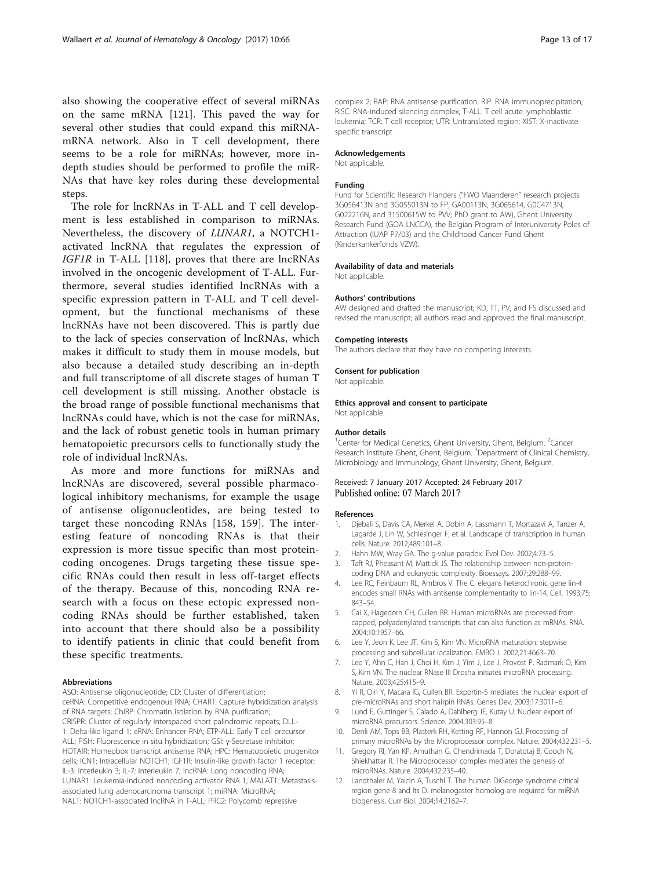<span id="page-12-0"></span>also showing the cooperative effect of several miRNAs on the same mRNA [\[121](#page-15-0)]. This paved the way for several other studies that could expand this miRNAmRNA network. Also in T cell development, there seems to be a role for miRNAs; however, more indepth studies should be performed to profile the miR-NAs that have key roles during these developmental steps.

The role for lncRNAs in T-ALL and T cell development is less established in comparison to miRNAs. Nevertheless, the discovery of LUNAR1, a NOTCH1 activated lncRNA that regulates the expression of IGF1R in T-ALL [[118\]](#page-15-0), proves that there are lncRNAs involved in the oncogenic development of T-ALL. Furthermore, several studies identified lncRNAs with a specific expression pattern in T-ALL and T cell development, but the functional mechanisms of these lncRNAs have not been discovered. This is partly due to the lack of species conservation of lncRNAs, which makes it difficult to study them in mouse models, but also because a detailed study describing an in-depth and full transcriptome of all discrete stages of human T cell development is still missing. Another obstacle is the broad range of possible functional mechanisms that lncRNAs could have, which is not the case for miRNAs, and the lack of robust genetic tools in human primary hematopoietic precursors cells to functionally study the role of individual lncRNAs.

As more and more functions for miRNAs and lncRNAs are discovered, several possible pharmacological inhibitory mechanisms, for example the usage of antisense oligonucleotides, are being tested to target these noncoding RNAs [[158](#page-15-0), [159\]](#page-16-0). The interesting feature of noncoding RNAs is that their expression is more tissue specific than most proteincoding oncogenes. Drugs targeting these tissue specific RNAs could then result in less off-target effects of the therapy. Because of this, noncoding RNA research with a focus on these ectopic expressed noncoding RNAs should be further established, taken into account that there should also be a possibility to identify patients in clinic that could benefit from these specific treatments.

#### Abbreviations

ASO: Antisense oligonucleotide; CD: Cluster of differentiation;

ceRNA: Competitive endogenous RNA; CHART: Capture hybridization analysis of RNA targets; ChIRP: Chromatin isolation by RNA purification; CRISPR: Cluster of regularly interspaced short palindromic repeats; DLL-1: Delta-like ligand 1; eRNA: Enhancer RNA; ETP-ALL: Early T cell precursor ALL; FISH: Fluorescence in situ hybridization; GSI: γ-Secretase inhibitor; HOTAIR: Homeobox transcript antisense RNA; HPC: Hematopoietic progenitor cells; ICN1: Intracellular NOTCH1; IGF1R: Insulin-like growth factor 1 receptor; IL-3: Interleukin 3; IL-7: Interleukin 7; lncRNA: Long noncoding RNA; LUNAR1: Leukemia-induced noncoding activator RNA 1; MALAT1: Metastasisassociated lung adenocarcinoma transcript 1; miRNA: MicroRNA; NALT: NOTCH1-associated lncRNA in T-ALL; PRC2: Polycomb repressive

complex 2; RAP: RNA antisense purification; RIP: RNA immunoprecipitation; RISC: RNA-induced silencing complex; T-ALL: T cell acute lymphoblastic leukemia; TCR: T cell receptor; UTR: Untranslated region; XIST: X-inactivate specific transcript

#### Acknowledgements

Not applicable.

#### Funding

Fund for Scientific Research Flanders ("FWO Vlaanderen" research projects 3G056413N and 3G055013N to FP; GA00113N, 3G065614, G0C4713N, G022216N, and 31500615W to PVV; PhD grant to AW), Ghent University Research Fund (GOA LNCCA), the Belgian Program of Interuniversity Poles of Attraction (IUAP P7/03) and the Childhood Cancer Fund Ghent (Kinderkankerfonds VZW).

#### Availability of data and materials

Not applicable.

#### Authors' contributions

AW designed and drafted the manuscript; KD, TT, PV, and FS discussed and revised the manuscript; all authors read and approved the final manuscript.

#### Competing interests

The authors declare that they have no competing interests.

#### Consent for publication

Not applicable.

#### Ethics approval and consent to participate Not applicable.

#### Author details

<sup>1</sup> Center for Medical Genetics, Ghent University, Ghent, Belgium. <sup>2</sup> Cancer Research Institute Ghent, Ghent, Belgium. <sup>3</sup>Department of Clinical Chemistry Microbiology and Immunology, Ghent University, Ghent, Belgium.

#### Received: 7 January 2017 Accepted: 24 February 2017 Published online: 07 March 2017

#### References

- 1. Djebali S, Davis CA, Merkel A, Dobin A, Lassmann T, Mortazavi A, Tanzer A, Lagarde J, Lin W, Schlesinger F, et al. Landscape of transcription in human cells. Nature. 2012;489:101–8.
- 2. Hahn MW, Wray GA. The g-value paradox. Evol Dev. 2002;4:73–5.
- 3. Taft RJ, Pheasant M, Mattick JS. The relationship between non-proteincoding DNA and eukaryotic complexity. Bioessays. 2007;29:288–99.
- 4. Lee RC, Feinbaum RL, Ambros V. The C. elegans heterochronic gene lin-4 encodes small RNAs with antisense complementarity to lin-14. Cell. 1993;75: 843–54.
- 5. Cai X, Hagedorn CH, Cullen BR. Human microRNAs are processed from capped, polyadenylated transcripts that can also function as mRNAs. RNA. 2004;10:1957–66.
- Lee Y, Jeon K, Lee JT, Kim S, Kim VN. MicroRNA maturation: stepwise processing and subcellular localization. EMBO J. 2002;21:4663–70.
- 7. Lee Y, Ahn C, Han J, Choi H, Kim J, Yim J, Lee J, Provost P, Radmark O, Kim S, Kim VN. The nuclear RNase III Drosha initiates microRNA processing. Nature. 2003;425:415–9.
- 8. Yi R, Qin Y, Macara IG, Cullen BR. Exportin-5 mediates the nuclear export of pre-microRNAs and short hairpin RNAs. Genes Dev. 2003;17:3011–6.
- 9. Lund E, Guttinger S, Calado A, Dahlberg JE, Kutay U. Nuclear export of microRNA precursors. Science. 2004;303:95–8.
- 10. Denli AM, Tops BB, Plasterk RH, Ketting RF, Hannon GJ. Processing of primary microRNAs by the Microprocessor complex. Nature. 2004;432:231–5.
- 11. Gregory RI, Yan KP, Amuthan G, Chendrimada T, Doratotaj B, Cooch N, Shiekhattar R. The Microprocessor complex mediates the genesis of microRNAs. Nature. 2004;432:235–40.
- 12. Landthaler M, Yalcin A, Tuschl T. The human DiGeorge syndrome critical region gene 8 and Its D. melanogaster homolog are required for miRNA biogenesis. Curr Biol. 2004;14:2162–7.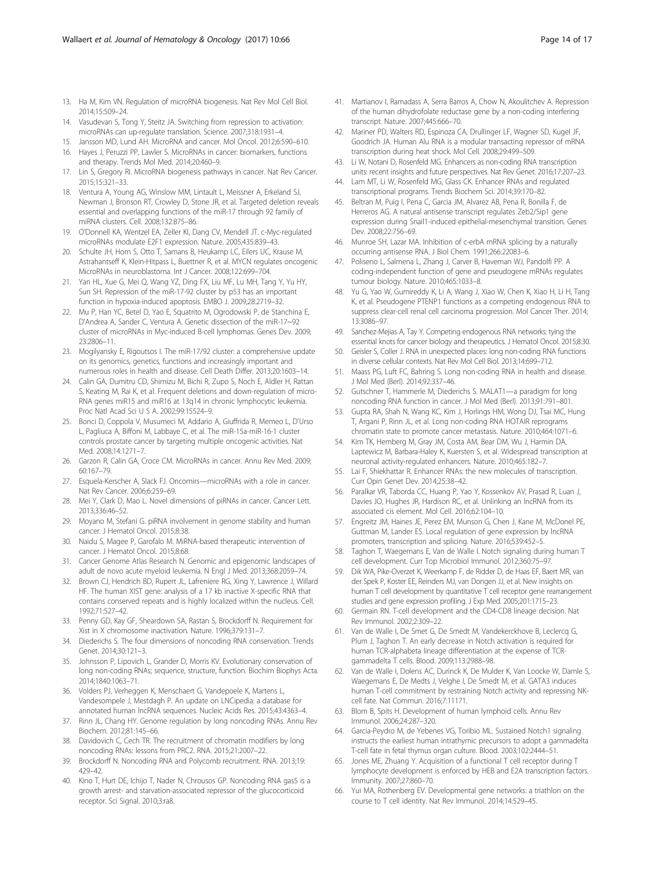- <span id="page-13-0"></span>13. Ha M, Kim VN. Regulation of microRNA biogenesis. Nat Rev Mol Cell Biol. 2014;15:509–24.
- 14. Vasudevan S, Tong Y, Steitz JA, Switching from repression to activation: microRNAs can up-regulate translation. Science. 2007;318:1931–4.
- 15. Jansson MD, Lund AH. MicroRNA and cancer. Mol Oncol. 2012;6:590–610. 16. Hayes J, Peruzzi PP, Lawler S. MicroRNAs in cancer: biomarkers, functions
- and therapy. Trends Mol Med. 2014;20:460–9. 17. Lin S, Gregory RI. MicroRNA biogenesis pathways in cancer. Nat Rev Cancer. 2015;15:321–33.
- 18. Ventura A, Young AG, Winslow MM, Lintault L, Meissner A, Erkeland SJ, Newman J, Bronson RT, Crowley D, Stone JR, et al. Targeted deletion reveals essential and overlapping functions of the miR-17 through 92 family of miRNA clusters. Cell. 2008;132:875–86.
- 19. O'Donnell KA, Wentzel EA, Zeller KI, Dang CV, Mendell JT. c-Myc-regulated microRNAs modulate E2F1 expression. Nature. 2005;435:839–43.
- 20. Schulte JH, Horn S, Otto T, Samans B, Heukamp LC, Eilers UC, Krause M, Astrahantseff K, Klein-Hitpass L, Buettner R, et al. MYCN regulates oncogenic MicroRNAs in neuroblastoma. Int J Cancer. 2008;122:699–704.
- 21. Yan HL, Xue G, Mei Q, Wang YZ, Ding FX, Liu MF, Lu MH, Tang Y, Yu HY, Sun SH. Repression of the miR-17-92 cluster by p53 has an important function in hypoxia-induced apoptosis. EMBO J. 2009;28:2719–32.
- 22. Mu P, Han YC, Betel D, Yao E, Squatrito M, Ogrodowski P, de Stanchina E, D'Andrea A, Sander C, Ventura A. Genetic dissection of the miR-17~92 cluster of microRNAs in Myc-induced B-cell lymphomas. Genes Dev. 2009; 23:2806–11.
- 23. Mogilyansky E, Rigoutsos I. The miR-17/92 cluster: a comprehensive update on its genomics, genetics, functions and increasingly important and numerous roles in health and disease. Cell Death Differ. 2013;20:1603–14.
- 24. Calin GA, Dumitru CD, Shimizu M, Bichi R, Zupo S, Noch E, Aldler H, Rattan S, Keating M, Rai K, et al. Frequent deletions and down-regulation of micro-RNA genes miR15 and miR16 at 13q14 in chronic lymphocytic leukemia. Proc Natl Acad Sci U S A. 2002;99:15524–9.
- 25. Bonci D, Coppola V, Musumeci M, Addario A, Giuffrida R, Memeo L, D'Urso L, Pagliuca A, Biffoni M, Labbaye C, et al. The miR-15a-miR-16-1 cluster controls prostate cancer by targeting multiple oncogenic activities. Nat Med. 2008;14:1271–7.
- 26. Garzon R, Calin GA, Croce CM. MicroRNAs in cancer. Annu Rev Med. 2009; 60:167–79.
- 27. Esquela-Kerscher A, Slack FJ, Oncomirs—microRNAs with a role in cancer. Nat Rev Cancer. 2006;6:259–69.
- 28. Mei Y, Clark D, Mao L. Novel dimensions of piRNAs in cancer. Cancer Lett. 2013;336:46–52.
- 29. Moyano M, Stefani G. piRNA involvement in genome stability and human cancer. J Hematol Oncol. 2015;8:38.
- 30. Naidu S, Magee P, Garofalo M. MiRNA-based therapeutic intervention of cancer. J Hematol Oncol. 2015;8:68.
- 31. Cancer Genome Atlas Research N. Genomic and epigenomic landscapes of adult de novo acute myeloid leukemia. N Engl J Med. 2013;368:2059–74.
- 32. Brown CJ, Hendrich BD, Rupert JL, Lafreniere RG, Xing Y, Lawrence J, Willard HF. The human XIST gene: analysis of a 17 kb inactive X-specific RNA that contains conserved repeats and is highly localized within the nucleus. Cell. 1992;71:527–42.
- 33. Penny GD, Kay GF, Sheardown SA, Rastan S, Brockdorff N. Requirement for Xist in X chromosome inactivation. Nature. 1996;379:131–7.
- 34. Diederichs S. The four dimensions of noncoding RNA conservation. Trends Genet. 2014;30:121–3.
- 35. Johnsson P, Lipovich L, Grander D, Morris KV. Evolutionary conservation of long non-coding RNAs; sequence, structure, function. Biochim Biophys Acta. 2014;1840:1063–71.
- 36. Volders PJ, Verheggen K, Menschaert G, Vandepoele K, Martens L, Vandesompele J, Mestdagh P. An update on LNCipedia: a database for annotated human lncRNA sequences. Nucleic Acids Res. 2015;43:4363–4.
- 37. Rinn JL, Chang HY. Genome regulation by long noncoding RNAs. Annu Rev Biochem. 2012;81:145–66.
- 38. Davidovich C, Cech TR. The recruitment of chromatin modifiers by long noncoding RNAs: lessons from PRC2. RNA. 2015;21:2007–22.
- 39. Brockdorff N. Noncoding RNA and Polycomb recruitment. RNA. 2013;19: 429–42.
- 40. Kino T, Hurt DE, Ichijo T, Nader N, Chrousos GP. Noncoding RNA gas5 is a growth arrest- and starvation-associated repressor of the glucocorticoid receptor. Sci Signal. 2010;3:ra8.
- 41. Martianov I, Ramadass A, Serra Barros A, Chow N, Akoulitchev A. Repression of the human dihydrofolate reductase gene by a non-coding interfering transcript. Nature. 2007;445:666–70.
- 42. Mariner PD, Walters RD, Espinoza CA, Drullinger LF, Wagner SD, Kugel JF, Goodrich JA. Human Alu RNA is a modular transacting repressor of mRNA transcription during heat shock. Mol Cell. 2008;29:499–509.
- 43. Li W, Notani D, Rosenfeld MG. Enhancers as non-coding RNA transcription units: recent insights and future perspectives. Nat Rev Genet. 2016;17:207–23.
- 44. Lam MT, Li W, Rosenfeld MG, Glass CK. Enhancer RNAs and regulated transcriptional programs. Trends Biochem Sci. 2014;39:170–82.
- 45. Beltran M, Puig I, Pena C, Garcia JM, Alvarez AB, Pena R, Bonilla F, de Herreros AG. A natural antisense transcript regulates Zeb2/Sip1 gene expression during Snail1-induced epithelial-mesenchymal transition. Genes Dev. 2008;22:756–69.
- 46. Munroe SH, Lazar MA. Inhibition of c-erbA mRNA splicing by a naturally occurring antisense RNA. J Biol Chem. 1991;266:22083–6.
- 47. Poliseno L, Salmena L, Zhang J, Carver B, Haveman WJ, Pandolfi PP. A coding-independent function of gene and pseudogene mRNAs regulates tumour biology. Nature. 2010;465:1033–8.
- 48. Yu G, Yao W, Gumireddy K, Li A, Wang J, Xiao W, Chen K, Xiao H, Li H, Tang K, et al. Pseudogene PTENP1 functions as a competing endogenous RNA to suppress clear-cell renal cell carcinoma progression. Mol Cancer Ther. 2014; 13:3086–97.
- 49. Sanchez-Mejias A, Tay Y. Competing endogenous RNA networks: tying the essential knots for cancer biology and therapeutics. J Hematol Oncol. 2015;8:30.
- 50. Geisler S, Coller J. RNA in unexpected places: long non-coding RNA functions in diverse cellular contexts. Nat Rev Mol Cell Biol. 2013;14:699–712.
- 51. Maass PG, Luft FC, Bahring S. Long non-coding RNA in health and disease. J Mol Med (Berl). 2014;92:337–46.
- 52. Gutschner T, Hammerle M, Diederichs S. MALAT1—a paradigm for long noncoding RNA function in cancer. J Mol Med (Berl). 2013;91:791–801.
- 53. Gupta RA, Shah N, Wang KC, Kim J, Horlings HM, Wong DJ, Tsai MC, Hung T, Argani P, Rinn JL, et al. Long non-coding RNA HOTAIR reprograms chromatin state to promote cancer metastasis. Nature. 2010;464:1071–6.
- 54. Kim TK, Hemberg M, Gray JM, Costa AM, Bear DM, Wu J, Harmin DA, Laptewicz M, Barbara-Haley K, Kuersten S, et al. Widespread transcription at neuronal activity-regulated enhancers. Nature. 2010;465:182–7.
- 55. Lai F, Shiekhattar R. Enhancer RNAs: the new molecules of transcription. Curr Opin Genet Dev. 2014;25:38–42.
- 56. Paralkar VR, Taborda CC, Huang P, Yao Y, Kossenkov AV, Prasad R, Luan J, Davies JO, Hughes JR, Hardison RC, et al. Unlinking an lncRNA from its associated cis element. Mol Cell. 2016;62:104–10.
- 57. Engreitz JM, Haines JE, Perez EM, Munson G, Chen J, Kane M, McDonel PE, Guttman M, Lander ES. Local regulation of gene expression by lncRNA promoters, transcription and splicing. Nature. 2016;539:452–5.
- 58. Taghon T, Waegemans E, Van de Walle I. Notch signaling during human T cell development. Curr Top Microbiol Immunol. 2012;360:75–97.
- 59. Dik WA, Pike-Overzet K, Weerkamp F, de Ridder D, de Haas EF, Baert MR, van der Spek P, Koster EE, Reinders MJ, van Dongen JJ, et al. New insights on human T cell development by quantitative T cell receptor gene rearrangement studies and gene expression profiling. J Exp Med. 2005;201:1715–23.
- 60. Germain RN. T-cell development and the CD4-CD8 lineage decision. Nat Rev Immunol. 2002;2:309–22.
- 61. Van de Walle I, De Smet G, De Smedt M, Vandekerckhove B, Leclercq G, Plum J, Taghon T. An early decrease in Notch activation is required for human TCR-alphabeta lineage differentiation at the expense of TCRgammadelta T cells. Blood. 2009;113:2988–98.
- 62. Van de Walle I, Dolens AC, Durinck K, De Mulder K, Van Loocke W, Damle S, Waegemans E, De Medts J, Velghe I, De Smedt M, et al. GATA3 induces human T-cell commitment by restraining Notch activity and repressing NKcell fate. Nat Commun. 2016;7:11171.
- 63. Blom B, Spits H. Development of human lymphoid cells. Annu Rev Immunol. 2006;24:287–320.
- 64. Garcia-Peydro M, de Yebenes VG, Toribio ML. Sustained Notch1 signaling instructs the earliest human intrathymic precursors to adopt a gammadelta T-cell fate in fetal thymus organ culture. Blood. 2003;102:2444–51.
- 65. Jones ME, Zhuang Y. Acquisition of a functional T cell receptor during T lymphocyte development is enforced by HEB and E2A transcription factors. Immunity. 2007;27:860–70.
- 66. Yui MA, Rothenberg EV. Developmental gene networks: a triathlon on the course to T cell identity. Nat Rev Immunol. 2014;14:529–45.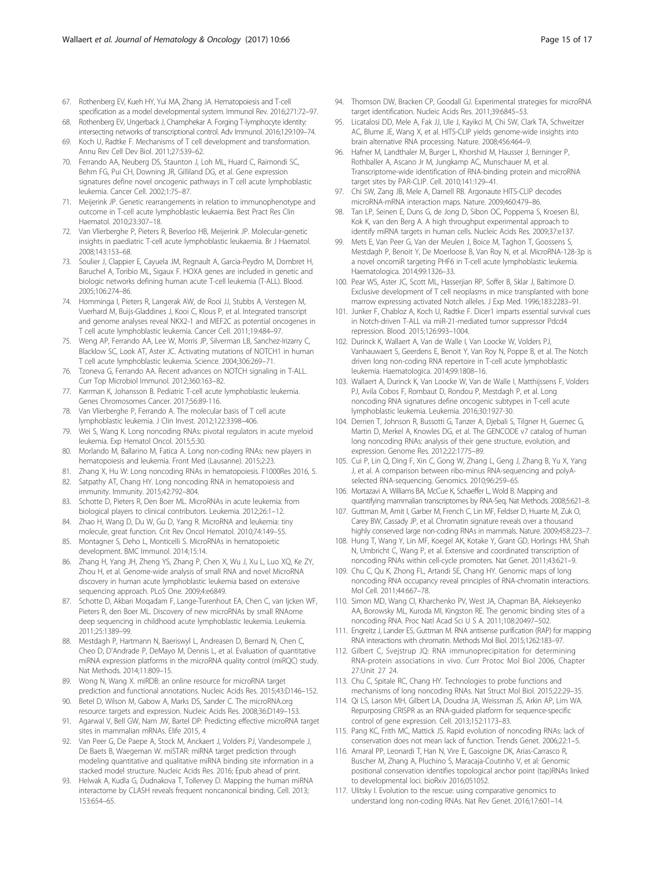- <span id="page-14-0"></span>67. Rothenberg EV, Kueh HY, Yui MA, Zhang JA. Hematopoiesis and T-cell specification as a model developmental system. Immunol Rev. 2016;271:72–97.
- 68. Rothenberg EV, Ungerback J, Champhekar A. Forging T-lymphocyte identity: intersecting networks of transcriptional control. Adv Immunol. 2016;129:109–74.
- 69. Koch U, Radtke F. Mechanisms of T cell development and transformation. Annu Rev Cell Dev Biol. 2011;27:539–62.
- 70. Ferrando AA, Neuberg DS, Staunton J, Loh ML, Huard C, Raimondi SC, Behm FG, Pui CH, Downing JR, Gilliland DG, et al. Gene expression signatures define novel oncogenic pathways in T cell acute lymphoblastic leukemia. Cancer Cell. 2002;1:75–87.
- 71. Meijerink JP. Genetic rearrangements in relation to immunophenotype and outcome in T-cell acute lymphoblastic leukaemia. Best Pract Res Clin Haematol. 2010;23:307–18.
- 72. Van Vlierberghe P, Pieters R, Beverloo HB, Meijerink JP. Molecular-genetic insights in paediatric T-cell acute lymphoblastic leukaemia. Br J Haematol. 2008;143:153–68.
- 73. Soulier J, Clappier E, Cayuela JM, Regnault A, Garcia-Peydro M, Dombret H, Baruchel A, Toribio ML, Sigaux F. HOXA genes are included in genetic and biologic networks defining human acute T-cell leukemia (T-ALL). Blood. 2005;106:274–86.
- 74. Homminga I, Pieters R, Langerak AW, de Rooi JJ, Stubbs A, Verstegen M, Vuerhard M, Buijs-Gladdines J, Kooi C, Klous P, et al. Integrated transcript and genome analyses reveal NKX2-1 and MEF2C as potential oncogenes in T cell acute lymphoblastic leukemia. Cancer Cell. 2011;19:484–97.
- 75. Weng AP, Ferrando AA, Lee W, Morris JP, Silverman LB, Sanchez-Irizarry C, Blacklow SC, Look AT, Aster JC. Activating mutations of NOTCH1 in human T cell acute lymphoblastic leukemia. Science. 2004;306:269–71.
- 76. Tzoneva G, Ferrando AA. Recent advances on NOTCH signaling in T-ALL. Curr Top Microbiol Immunol. 2012;360:163–82.
- 77. Karrman K, Johansson B. Pediatric T-cell acute lymphoblastic leukemia. Genes Chromosomes Cancer. 2017;56:89-116.
- 78. Van Vlierberghe P, Ferrando A. The molecular basis of T cell acute lymphoblastic leukemia. J Clin Invest. 2012;122:3398–406.
- 79. Wei S, Wang K. Long noncoding RNAs: pivotal regulators in acute myeloid leukemia. Exp Hematol Oncol. 2015;5:30.
- 80. Morlando M, Ballarino M, Fatica A. Long non-coding RNAs: new players in hematopoiesis and leukemia. Front Med (Lausanne). 2015;2:23.
- 81. Zhang X, Hu W: Long noncoding RNAs in hematopoiesis. F1000Res 2016, 5.
- 82. Satpathy AT, Chang HY. Long noncoding RNA in hematopoiesis and immunity. Immunity. 2015;42:792–804. 83. Schotte D, Pieters R, Den Boer ML. MicroRNAs in acute leukemia: from
- biological players to clinical contributors. Leukemia. 2012;26:1–12.
- 84. Zhao H, Wang D, Du W, Gu D, Yang R. MicroRNA and leukemia: tiny molecule, great function. Crit Rev Oncol Hematol. 2010;74:149–55.
- 85. Montagner S, Deho L, Monticelli S. MicroRNAs in hematopoietic development. BMC Immunol. 2014;15:14.
- 86. Zhang H, Yang JH, Zheng YS, Zhang P, Chen X, Wu J, Xu L, Luo XQ, Ke ZY, Zhou H, et al. Genome-wide analysis of small RNA and novel MicroRNA discovery in human acute lymphoblastic leukemia based on extensive sequencing approach. PLoS One. 2009;4:e6849.
- 87. Schotte D, Akbari Moqadam F, Lange-Turenhout EA, Chen C, van Ijcken WF, Pieters R, den Boer ML. Discovery of new microRNAs by small RNAome deep sequencing in childhood acute lymphoblastic leukemia. Leukemia. 2011;25:1389–99.
- 88. Mestdagh P, Hartmann N, Baeriswyl L, Andreasen D, Bernard N, Chen C, Cheo D, D'Andrade P, DeMayo M, Dennis L, et al. Evaluation of quantitative miRNA expression platforms in the microRNA quality control (miRQC) study. Nat Methods. 2014;11:809–15.
- 89. Wong N, Wang X. miRDB: an online resource for microRNA target prediction and functional annotations. Nucleic Acids Res. 2015;43:D146–152.
- 90. Betel D, Wilson M, Gabow A, Marks DS, Sander C. The microRNA.org resource: targets and expression. Nucleic Acids Res. 2008;36:D149–153.
- 91. Agarwal V, Bell GW, Nam JW, Bartel DP: Predicting effective microRNA target sites in mammalian mRNAs. Elife 2015, 4
- 92. Van Peer G, De Paepe A, Stock M, Anckaert J, Volders PJ, Vandesompele J, De Baets B, Waegeman W. miSTAR: miRNA target prediction through modeling quantitative and qualitative miRNA binding site information in a stacked model structure. Nucleic Acids Res. 2016; Epub ahead of print.
- 93. Helwak A, Kudla G, Dudnakova T, Tollervey D. Mapping the human miRNA interactome by CLASH reveals frequent noncanonical binding. Cell. 2013; 153:654–65.
- 94. Thomson DW, Bracken CP, Goodall GJ. Experimental strategies for microRNA target identification. Nucleic Acids Res. 2011;39:6845–53.
- 95. Licatalosi DD, Mele A, Fak JJ, Ule J, Kayikci M, Chi SW, Clark TA, Schweitzer AC, Blume JE, Wang X, et al. HITS-CLIP yields genome-wide insights into brain alternative RNA processing. Nature. 2008;456:464–9.
- 96. Hafner M, Landthaler M, Burger L, Khorshid M, Hausser J, Berninger P, Rothballer A, Ascano Jr M, Jungkamp AC, Munschauer M, et al. Transcriptome-wide identification of RNA-binding protein and microRNA target sites by PAR-CLIP. Cell. 2010;141:129–41.
- 97. Chi SW, Zang JB, Mele A, Darnell RB. Argonaute HITS-CLIP decodes microRNA-mRNA interaction maps. Nature. 2009;460:479–86.
- 98. Tan LP, Seinen E, Duns G, de Jong D, Sibon OC, Poppema S, Kroesen BJ, Kok K, van den Berg A. A high throughput experimental approach to identify miRNA targets in human cells. Nucleic Acids Res. 2009;37:e137.
- 99. Mets E, Van Peer G, Van der Meulen J, Boice M, Taghon T, Goossens S, Mestdagh P, Benoit Y, De Moerloose B, Van Roy N, et al. MicroRNA-128-3p is a novel oncomiR targeting PHF6 in T-cell acute lymphoblastic leukemia. Haematologica. 2014;99:1326–33.
- 100. Pear WS, Aster JC, Scott ML, Hasserjian RP, Soffer B, Sklar J, Baltimore D. Exclusive development of T cell neoplasms in mice transplanted with bone marrow expressing activated Notch alleles. J Exp Med. 1996;183:2283–91.
- 101. Junker F, Chabloz A, Koch U, Radtke F. Dicer1 imparts essential survival cues in Notch-driven T-ALL via miR-21-mediated tumor suppressor Pdcd4 repression. Blood. 2015;126:993–1004.
- 102. Durinck K, Wallaert A, Van de Walle I, Van Loocke W, Volders PJ, Vanhauwaert S, Geerdens E, Benoit Y, Van Roy N, Poppe B, et al. The Notch driven long non-coding RNA repertoire in T-cell acute lymphoblastic leukemia. Haematologica. 2014;99:1808–16.
- 103. Wallaert A, Durinck K, Van Loocke W, Van de Walle I, Matthijssens F, Volders PJ, Avila Cobos F, Rombaut D, Rondou P, Mestdagh P, et al. Long noncoding RNA signatures define oncogenic subtypes in T-cell acute lymphoblastic leukemia. Leukemia. 2016;30:1927-30.
- 104. Derrien T, Johnson R, Bussotti G, Tanzer A, Djebali S, Tilgner H, Guernec G, Martin D, Merkel A, Knowles DG, et al. The GENCODE v7 catalog of human long noncoding RNAs: analysis of their gene structure, evolution, and expression. Genome Res. 2012;22:1775–89.
- 105. Cui P, Lin Q, Ding F, Xin C, Gong W, Zhang L, Geng J, Zhang B, Yu X, Yang J, et al. A comparison between ribo-minus RNA-sequencing and polyAselected RNA-sequencing. Genomics. 2010;96:259–65.
- 106. Mortazavi A, Williams BA, McCue K, Schaeffer L, Wold B. Mapping and quantifying mammalian transcriptomes by RNA-Seq. Nat Methods. 2008;5:621–8.
- 107. Guttman M, Amit I, Garber M, French C, Lin MF, Feldser D, Huarte M, Zuk O, Carey BW, Cassady JP, et al. Chromatin signature reveals over a thousand highly conserved large non-coding RNAs in mammals. Nature. 2009;458:223–7.
- 108. Hung T, Wang Y, Lin MF, Koegel AK, Kotake Y, Grant GD, Horlings HM, Shah N, Umbricht C, Wang P, et al. Extensive and coordinated transcription of noncoding RNAs within cell-cycle promoters. Nat Genet. 2011;43:621–9.
- 109. Chu C, Qu K, Zhong FL, Artandi SE, Chang HY. Genomic maps of long noncoding RNA occupancy reveal principles of RNA-chromatin interactions. Mol Cell. 2011;44:667–78.
- 110. Simon MD, Wang CI, Kharchenko PV, West JA, Chapman BA, Alekseyenko AA, Borowsky ML, Kuroda MI, Kingston RE. The genomic binding sites of a noncoding RNA. Proc Natl Acad Sci U S A. 2011;108:20497–502.
- 111. Engreitz J, Lander ES, Guttman M. RNA antisense purification (RAP) for mapping RNA interactions with chromatin. Methods Mol Biol. 2015;1262:183–97.
- 112. Gilbert C, Svejstrup JQ: RNA immunoprecipitation for determining RNA-protein associations in vivo. Curr Protoc Mol Biol 2006, Chapter 27:Unit 27 24.
- 113. Chu C, Spitale RC, Chang HY. Technologies to probe functions and mechanisms of long noncoding RNAs. Nat Struct Mol Biol. 2015;22:29–35.
- 114. Qi LS, Larson MH, Gilbert LA, Doudna JA, Weissman JS, Arkin AP, Lim WA. Repurposing CRISPR as an RNA-guided platform for sequence-specific control of gene expression. Cell. 2013;152:1173–83.
- 115. Pang KC, Frith MC, Mattick JS. Rapid evolution of noncoding RNAs: lack of conservation does not mean lack of function. Trends Genet. 2006;22:1–5.
- 116. Amaral PP, Leonardi T, Han N, Vire E, Gascoigne DK, Arias-Carrasco R, Buscher M, Zhang A, Pluchino S, Maracaja-Coutinho V, et al: Genomic positional conservation identifies topological anchor point (tap)RNAs linked to developmental loci. bioRxiv 2016;051052.
- 117. Ulitsky I. Evolution to the rescue: using comparative genomics to understand long non-coding RNAs. Nat Rev Genet. 2016;17:601–14.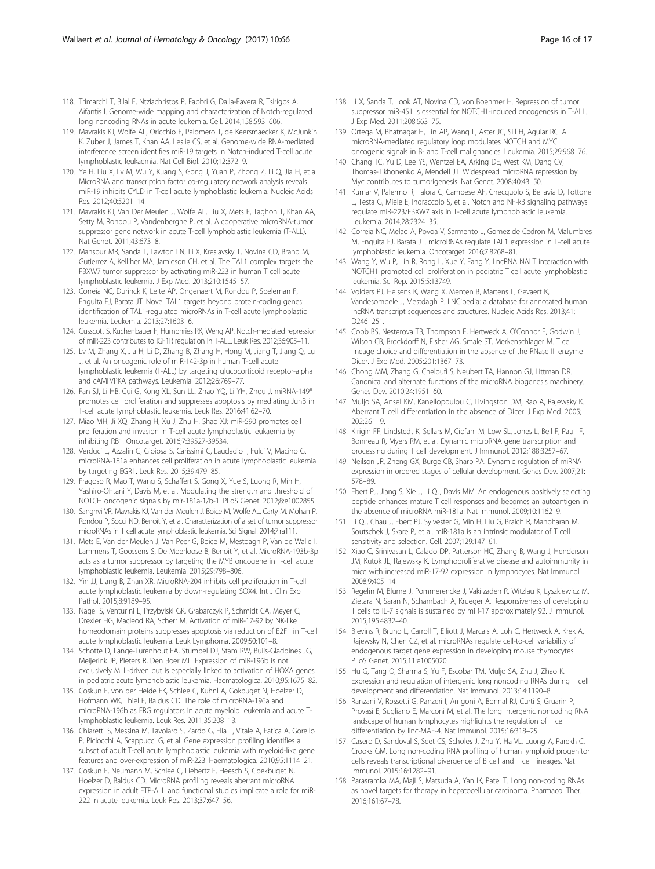- <span id="page-15-0"></span>118. Trimarchi T, Bilal E, Ntziachristos P, Fabbri G, Dalla-Favera R, Tsirigos A, Aifantis I. Genome-wide mapping and characterization of Notch-regulated long noncoding RNAs in acute leukemia. Cell. 2014;158:593–606.
- 119. Mavrakis KJ, Wolfe AL, Oricchio E, Palomero T, de Keersmaecker K, McJunkin K, Zuber J, James T, Khan AA, Leslie CS, et al. Genome-wide RNA-mediated interference screen identifies miR-19 targets in Notch-induced T-cell acute lymphoblastic leukaemia. Nat Cell Biol. 2010;12:372–9.
- 120. Ye H, Liu X, Lv M, Wu Y, Kuang S, Gong J, Yuan P, Zhong Z, Li Q, Jia H, et al. MicroRNA and transcription factor co-regulatory network analysis reveals miR-19 inhibits CYLD in T-cell acute lymphoblastic leukemia. Nucleic Acids Res. 2012;40:5201–14.
- 121. Mavrakis KJ, Van Der Meulen J, Wolfe AL, Liu X, Mets E, Taghon T, Khan AA, Setty M, Rondou P, Vandenberghe P, et al. A cooperative microRNA-tumor suppressor gene network in acute T-cell lymphoblastic leukemia (T-ALL). Nat Genet. 2011;43:673–8.
- 122. Mansour MR, Sanda T, Lawton LN, Li X, Kreslavsky T, Novina CD, Brand M, Gutierrez A, Kelliher MA, Jamieson CH, et al. The TAL1 complex targets the FBXW7 tumor suppressor by activating miR-223 in human T cell acute lymphoblastic leukemia. J Exp Med. 2013;210:1545–57.
- 123. Correia NC, Durinck K, Leite AP, Ongenaert M, Rondou P, Speleman F, Enguita FJ, Barata JT. Novel TAL1 targets beyond protein-coding genes: identification of TAL1-regulated microRNAs in T-cell acute lymphoblastic leukemia. Leukemia. 2013;27:1603–6.
- 124. Gusscott S, Kuchenbauer F, Humphries RK, Weng AP. Notch-mediated repression of miR-223 contributes to IGF1R regulation in T-ALL. Leuk Res. 2012;36:905–11.
- 125. Lv M, Zhang X, Jia H, Li D, Zhang B, Zhang H, Hong M, Jiang T, Jiang Q, Lu J, et al. An oncogenic role of miR-142-3p in human T-cell acute lymphoblastic leukemia (T-ALL) by targeting glucocorticoid receptor-alpha and cAMP/PKA pathways. Leukemia. 2012;26:769–77.
- 126. Fan SJ, Li HB, Cui G, Kong XL, Sun LL, Zhao YQ, Li YH, Zhou J. miRNA-149\* promotes cell proliferation and suppresses apoptosis by mediating JunB in T-cell acute lymphoblastic leukemia. Leuk Res. 2016;41:62–70.
- 127. Miao MH, Ji XQ, Zhang H, Xu J, Zhu H, Shao XJ: miR-590 promotes cell proliferation and invasion in T-cell acute lymphoblastic leukaemia by inhibiting RB1. Oncotarget. 2016;7:39527-39534.
- 128. Verduci L, Azzalin G, Gioiosa S, Carissimi C, Laudadio I, Fulci V, Macino G. microRNA-181a enhances cell proliferation in acute lymphoblastic leukemia by targeting EGR1. Leuk Res. 2015;39:479–85.
- 129. Fragoso R, Mao T, Wang S, Schaffert S, Gong X, Yue S, Luong R, Min H, Yashiro-Ohtani Y, Davis M, et al. Modulating the strength and threshold of NOTCH oncogenic signals by mir-181a-1/b-1. PLoS Genet. 2012;8:e1002855.
- 130. Sanghvi VR, Mavrakis KJ, Van der Meulen J, Boice M, Wolfe AL, Carty M, Mohan P, Rondou P, Socci ND, Benoit Y, et al. Characterization of a set of tumor suppressor microRNAs in T cell acute lymphoblastic leukemia. Sci Signal. 2014;7:ra111.
- 131. Mets E, Van der Meulen J, Van Peer G, Boice M, Mestdagh P, Van de Walle I, Lammens T, Goossens S, De Moerloose B, Benoit Y, et al. MicroRNA-193b-3p acts as a tumor suppressor by targeting the MYB oncogene in T-cell acute lymphoblastic leukemia. Leukemia. 2015;29:798–806.
- 132. Yin JJ, Liang B, Zhan XR. MicroRNA-204 inhibits cell proliferation in T-cell acute lymphoblastic leukemia by down-regulating SOX4. Int J Clin Exp Pathol. 2015;8:9189–95.
- 133. Nagel S, Venturini L, Przybylski GK, Grabarczyk P, Schmidt CA, Meyer C, Drexler HG, Macleod RA, Scherr M. Activation of miR-17-92 by NK-like homeodomain proteins suppresses apoptosis via reduction of E2F1 in T-cell acute lymphoblastic leukemia. Leuk Lymphoma. 2009;50:101–8.
- 134. Schotte D, Lange-Turenhout EA, Stumpel DJ, Stam RW, Buijs-Gladdines JG, Meijerink JP, Pieters R, Den Boer ML. Expression of miR-196b is not exclusively MLL-driven but is especially linked to activation of HOXA genes in pediatric acute lymphoblastic leukemia. Haematologica. 2010;95:1675–82.
- 135. Coskun E, von der Heide EK, Schlee C, Kuhnl A, Gokbuget N, Hoelzer D, Hofmann WK, Thiel E, Baldus CD. The role of microRNA-196a and microRNA-196b as ERG regulators in acute myeloid leukemia and acute Tlymphoblastic leukemia. Leuk Res. 2011;35:208–13.
- 136. Chiaretti S, Messina M, Tavolaro S, Zardo G, Elia L, Vitale A, Fatica A, Gorello P, Piciocchi A, Scappucci G, et al. Gene expression profiling identifies a subset of adult T-cell acute lymphoblastic leukemia with myeloid-like gene features and over-expression of miR-223. Haematologica. 2010;95:1114–21.
- 137. Coskun E, Neumann M, Schlee C, Liebertz F, Heesch S, Goekbuget N, Hoelzer D, Baldus CD. MicroRNA profiling reveals aberrant microRNA expression in adult ETP-ALL and functional studies implicate a role for miR-222 in acute leukemia. Leuk Res. 2013;37:647–56.
- 138. Li X, Sanda T, Look AT, Novina CD, von Boehmer H. Repression of tumor suppressor miR-451 is essential for NOTCH1-induced oncogenesis in T-ALL. J Exp Med. 2011;208:663–75.
- 139. Ortega M, Bhatnagar H, Lin AP, Wang L, Aster JC, Sill H, Aguiar RC. A microRNA-mediated regulatory loop modulates NOTCH and MYC oncogenic signals in B- and T-cell malignancies. Leukemia. 2015;29:968–76.
- 140. Chang TC, Yu D, Lee YS, Wentzel EA, Arking DE, West KM, Dang CV, Thomas-Tikhonenko A, Mendell JT. Widespread microRNA repression by Myc contributes to tumorigenesis. Nat Genet. 2008;40:43–50.
- 141. Kumar V, Palermo R, Talora C, Campese AF, Checquolo S, Bellavia D, Tottone L, Testa G, Miele E, Indraccolo S, et al. Notch and NF-kB signaling pathways regulate miR-223/FBXW7 axis in T-cell acute lymphoblastic leukemia. Leukemia. 2014;28:2324–35.
- 142. Correia NC, Melao A, Povoa V, Sarmento L, Gomez de Cedron M, Malumbres M, Enguita FJ, Barata JT. microRNAs regulate TAL1 expression in T-cell acute lymphoblastic leukemia. Oncotarget. 2016;7:8268–81.
- 143. Wang Y, Wu P, Lin R, Rong L, Xue Y, Fang Y. LncRNA NALT interaction with NOTCH1 promoted cell proliferation in pediatric T cell acute lymphoblastic leukemia. Sci Rep. 2015;5:13749.
- 144. Volders PJ, Helsens K, Wang X, Menten B, Martens L, Gevaert K, Vandesompele J, Mestdagh P. LNCipedia: a database for annotated human lncRNA transcript sequences and structures. Nucleic Acids Res. 2013;41: D246–251.
- 145. Cobb BS, Nesterova TB, Thompson E, Hertweck A, O'Connor E, Godwin J, Wilson CB, Brockdorff N, Fisher AG, Smale ST, Merkenschlager M. T cell lineage choice and differentiation in the absence of the RNase III enzyme Dicer. J Exp Med. 2005;201:1367–73.
- 146. Chong MM, Zhang G, Cheloufi S, Neubert TA, Hannon GJ, Littman DR. Canonical and alternate functions of the microRNA biogenesis machinery. Genes Dev. 2010;24:1951–60.
- 147. Muljo SA, Ansel KM, Kanellopoulou C, Livingston DM, Rao A, Rajewsky K. Aberrant T cell differentiation in the absence of Dicer. J Exp Med. 2005; 202:261–9.
- 148. Kirigin FF, Lindstedt K, Sellars M, Ciofani M, Low SL, Jones L, Bell F, Pauli F, Bonneau R, Myers RM, et al. Dynamic microRNA gene transcription and processing during T cell development. J Immunol. 2012;188:3257–67.
- 149. Neilson JR, Zheng GX, Burge CB, Sharp PA. Dynamic regulation of miRNA expression in ordered stages of cellular development. Genes Dev. 2007;21: 578–89.
- 150. Ebert PJ, Jiang S, Xie J, Li QJ, Davis MM. An endogenous positively selecting peptide enhances mature T cell responses and becomes an autoantigen in the absence of microRNA miR-181a. Nat Immunol. 2009;10:1162–9.
- 151. Li QJ, Chau J, Ebert PJ, Sylvester G, Min H, Liu G, Braich R, Manoharan M, Soutschek J, Skare P, et al. miR-181a is an intrinsic modulator of T cell sensitivity and selection. Cell. 2007;129:147–61.
- 152. Xiao C, Srinivasan L, Calado DP, Patterson HC, Zhang B, Wang J, Henderson JM, Kutok JL, Rajewsky K. Lymphoproliferative disease and autoimmunity in mice with increased miR-17-92 expression in lymphocytes. Nat Immunol. 2008;9:405–14.
- 153. Regelin M, Blume J, Pommerencke J, Vakilzadeh R, Witzlau K, Lyszkiewicz M, Zietara N, Saran N, Schambach A, Krueger A. Responsiveness of developing T cells to IL-7 signals is sustained by miR-17 approximately 92. J Immunol. 2015;195:4832–40.
- 154. Blevins R, Bruno L, Carroll T, Elliott J, Marcais A, Loh C, Hertweck A, Krek A, Rajewsky N, Chen CZ, et al. microRNAs regulate cell-to-cell variability of endogenous target gene expression in developing mouse thymocytes. PLoS Genet. 2015;11:e1005020.
- 155. Hu G, Tang Q, Sharma S, Yu F, Escobar TM, Muljo SA, Zhu J, Zhao K. Expression and regulation of intergenic long noncoding RNAs during T cell development and differentiation. Nat Immunol. 2013;14:1190–8.
- 156. Ranzani V, Rossetti G, Panzeri I, Arrigoni A, Bonnal RJ, Curti S, Gruarin P, Provasi E, Sugliano E, Marconi M, et al. The long intergenic noncoding RNA landscape of human lymphocytes highlights the regulation of T cell differentiation by linc-MAF-4. Nat Immunol. 2015;16:318–25.
- 157. Casero D, Sandoval S, Seet CS, Scholes J, Zhu Y, Ha VL, Luong A, Parekh C, Crooks GM. Long non-coding RNA profiling of human lymphoid progenitor cells reveals transcriptional divergence of B cell and T cell lineages. Nat Immunol. 2015;16:1282–91.
- 158. Parasramka MA, Maji S, Matsuda A, Yan IK, Patel T. Long non-coding RNAs as novel targets for therapy in hepatocellular carcinoma. Pharmacol Ther. 2016;161:67–78.